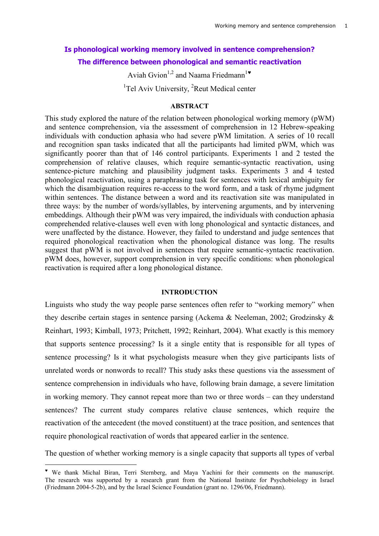# **Is phonological working memory involved in sentence comprehension? The difference between phonological and semantic reactivation**

Aviah Gvion<sup>1,2</sup> and Naama Friedmann<sup>1</sup>

<sup>1</sup>Tel Aviv University, <sup>2</sup>Reut Medical center

### **ABSTRACT**

This study explored the nature of the relation between phonological working memory (pWM) and sentence comprehension, via the assessment of comprehension in 12 Hebrew-speaking individuals with conduction aphasia who had severe pWM limitation. A series of 10 recall and recognition span tasks indicated that all the participants had limited pWM, which was significantly poorer than that of 146 control participants. Experiments 1 and 2 tested the comprehension of relative clauses, which require semantic-syntactic reactivation, using sentence-picture matching and plausibility judgment tasks. Experiments 3 and 4 tested phonological reactivation, using a paraphrasing task for sentences with lexical ambiguity for which the disambiguation requires re-access to the word form, and a task of rhyme judgment within sentences. The distance between a word and its reactivation site was manipulated in three ways: by the number of words/syllables, by intervening arguments, and by intervening embeddings. Although their pWM was very impaired, the individuals with conduction aphasia comprehended relative-clauses well even with long phonological and syntactic distances, and were unaffected by the distance. However, they failed to understand and judge sentences that required phonological reactivation when the phonological distance was long. The results suggest that pWM is not involved in sentences that require semantic-syntactic reactivation. pWM does, however, support comprehension in very specific conditions: when phonological reactivation is required after a long phonological distance.

### **INTRODUCTION**

Linguists who study the way people parse sentences often refer to "working memory" when they describe certain stages in sentence parsing (Ackema & Neeleman, 2002; Grodzinsky & Reinhart, 1993; Kimball, 1973; Pritchett, 1992; Reinhart, 2004). What exactly is this memory that supports sentence processing? Is it a single entity that is responsible for all types of sentence processing? Is it what psychologists measure when they give participants lists of unrelated words or nonwords to recall? This study asks these questions via the assessment of sentence comprehension in individuals who have, following brain damage, a severe limitation in working memory. They cannot repeat more than two or three words – can they understand sentences? The current study compares relative clause sentences, which require the reactivation of the antecedent (the moved constituent) at the trace position, and sentences that require phonological reactivation of words that appeared earlier in the sentence.

The question of whether working memory is a single capacity that supports all types of verbal

We thank Michal Biran, Terri Sternberg, and Maya Yachini for their comments on the manuscript. The research was supported by a research grant from the National Institute for Psychobiology in Israel (Friedmann 2004-5-2b), and by the Israel Science Foundation (grant no. 1296/06, Friedmann).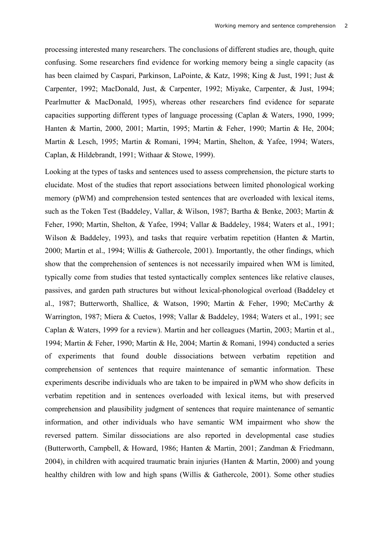processing interested many researchers. The conclusions of different studies are, though, quite confusing. Some researchers find evidence for working memory being a single capacity (as has been claimed by Caspari, Parkinson, LaPointe, & Katz, 1998; King & Just, 1991; Just & Carpenter, 1992; MacDonald, Just, & Carpenter, 1992; Miyake, Carpenter, & Just, 1994; Pearlmutter & MacDonald, 1995), whereas other researchers find evidence for separate capacities supporting different types of language processing (Caplan & Waters, 1990, 1999; Hanten & Martin, 2000, 2001; Martin, 1995; Martin & Feher, 1990; Martin & He, 2004; Martin & Lesch, 1995; Martin & Romani, 1994; Martin, Shelton, & Yafee, 1994; Waters, Caplan, & Hildebrandt, 1991; Withaar & Stowe, 1999).

Looking at the types of tasks and sentences used to assess comprehension, the picture starts to elucidate. Most of the studies that report associations between limited phonological working memory (pWM) and comprehension tested sentences that are overloaded with lexical items, such as the Token Test (Baddeley, Vallar, & Wilson, 1987; Bartha & Benke, 2003; Martin & Feher, 1990; Martin, Shelton, & Yafee, 1994; Vallar & Baddeley, 1984; Waters et al., 1991; Wilson & Baddeley, 1993), and tasks that require verbatim repetition (Hanten & Martin, 2000; Martin et al., 1994; Willis & Gathercole, 2001). Importantly, the other findings, which show that the comprehension of sentences is not necessarily impaired when WM is limited, typically come from studies that tested syntactically complex sentences like relative clauses, passives, and garden path structures but without lexical-phonological overload (Baddeley et al., 1987; Butterworth, Shallice, & Watson, 1990; Martin & Feher, 1990; McCarthy & Warrington, 1987; Miera & Cuetos, 1998; Vallar & Baddeley, 1984; Waters et al., 1991; see Caplan & Waters, 1999 for a review). Martin and her colleagues (Martin, 2003; Martin et al., 1994; Martin & Feher, 1990; Martin & He, 2004; Martin & Romani, 1994) conducted a series of experiments that found double dissociations between verbatim repetition and comprehension of sentences that require maintenance of semantic information. These experiments describe individuals who are taken to be impaired in pWM who show deficits in verbatim repetition and in sentences overloaded with lexical items, but with preserved comprehension and plausibility judgment of sentences that require maintenance of semantic information, and other individuals who have semantic WM impairment who show the reversed pattern. Similar dissociations are also reported in developmental case studies (Butterworth, Campbell, & Howard, 1986; Hanten & Martin, 2001; Zandman & Friedmann, 2004), in children with acquired traumatic brain injuries (Hanten & Martin, 2000) and young healthy children with low and high spans (Willis & Gathercole, 2001). Some other studies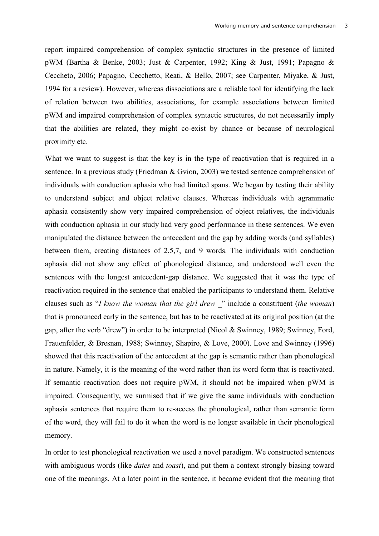report impaired comprehension of complex syntactic structures in the presence of limited pWM (Bartha & Benke, 2003; Just & Carpenter, 1992; King & Just, 1991; Papagno & Ceccheto, 2006; Papagno, Cecchetto, Reati, & Bello, 2007; see Carpenter, Miyake, & Just, 1994 for a review). However, whereas dissociations are a reliable tool for identifying the lack of relation between two abilities, associations, for example associations between limited pWM and impaired comprehension of complex syntactic structures, do not necessarily imply that the abilities are related, they might co-exist by chance or because of neurological proximity etc.

What we want to suggest is that the key is in the type of reactivation that is required in a sentence. In a previous study (Friedman & Gvion, 2003) we tested sentence comprehension of individuals with conduction aphasia who had limited spans. We began by testing their ability to understand subject and object relative clauses. Whereas individuals with agrammatic aphasia consistently show very impaired comprehension of object relatives, the individuals with conduction aphasia in our study had very good performance in these sentences. We even manipulated the distance between the antecedent and the gap by adding words (and syllables) between them, creating distances of 2,5,7, and 9 words. The individuals with conduction aphasia did not show any effect of phonological distance, and understood well even the sentences with the longest antecedent-gap distance. We suggested that it was the type of reactivation required in the sentence that enabled the participants to understand them. Relative clauses such as "*I know the woman that the girl drew \_*" include a constituent (*the woman*) that is pronounced early in the sentence, but has to be reactivated at its original position (at the gap, after the verb "drew") in order to be interpreted (Nicol & Swinney, 1989; Swinney, Ford, Frauenfelder, & Bresnan, 1988; Swinney, Shapiro, & Love, 2000). Love and Swinney (1996) showed that this reactivation of the antecedent at the gap is semantic rather than phonological in nature. Namely, it is the meaning of the word rather than its word form that is reactivated. If semantic reactivation does not require pWM, it should not be impaired when pWM is impaired. Consequently, we surmised that if we give the same individuals with conduction aphasia sentences that require them to re-access the phonological, rather than semantic form of the word, they will fail to do it when the word is no longer available in their phonological memory.

In order to test phonological reactivation we used a novel paradigm. We constructed sentences with ambiguous words (like *dates* and *toast*), and put them a context strongly biasing toward one of the meanings. At a later point in the sentence, it became evident that the meaning that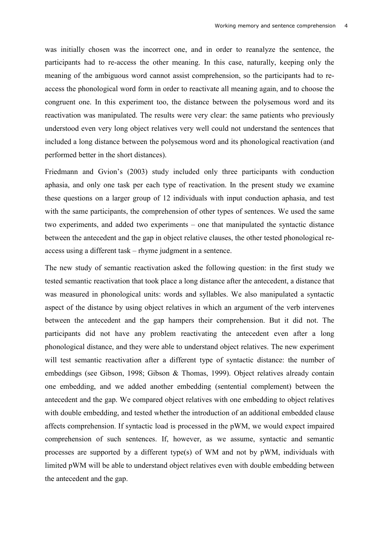was initially chosen was the incorrect one, and in order to reanalyze the sentence, the participants had to re-access the other meaning. In this case, naturally, keeping only the meaning of the ambiguous word cannot assist comprehension, so the participants had to reaccess the phonological word form in order to reactivate all meaning again, and to choose the congruent one. In this experiment too, the distance between the polysemous word and its reactivation was manipulated. The results were very clear: the same patients who previously understood even very long object relatives very well could not understand the sentences that included a long distance between the polysemous word and its phonological reactivation (and performed better in the short distances).

Friedmann and Gvion's (2003) study included only three participants with conduction aphasia, and only one task per each type of reactivation. In the present study we examine these questions on a larger group of 12 individuals with input conduction aphasia, and test with the same participants, the comprehension of other types of sentences. We used the same two experiments, and added two experiments – one that manipulated the syntactic distance between the antecedent and the gap in object relative clauses, the other tested phonological reaccess using a different task – rhyme judgment in a sentence.

The new study of semantic reactivation asked the following question: in the first study we tested semantic reactivation that took place a long distance after the antecedent, a distance that was measured in phonological units: words and syllables. We also manipulated a syntactic aspect of the distance by using object relatives in which an argument of the verb intervenes between the antecedent and the gap hampers their comprehension. But it did not. The participants did not have any problem reactivating the antecedent even after a long phonological distance, and they were able to understand object relatives. The new experiment will test semantic reactivation after a different type of syntactic distance: the number of embeddings (see Gibson, 1998; Gibson & Thomas, 1999). Object relatives already contain one embedding, and we added another embedding (sentential complement) between the antecedent and the gap. We compared object relatives with one embedding to object relatives with double embedding, and tested whether the introduction of an additional embedded clause affects comprehension. If syntactic load is processed in the pWM, we would expect impaired comprehension of such sentences. If, however, as we assume, syntactic and semantic processes are supported by a different type(s) of WM and not by pWM, individuals with limited pWM will be able to understand object relatives even with double embedding between the antecedent and the gap.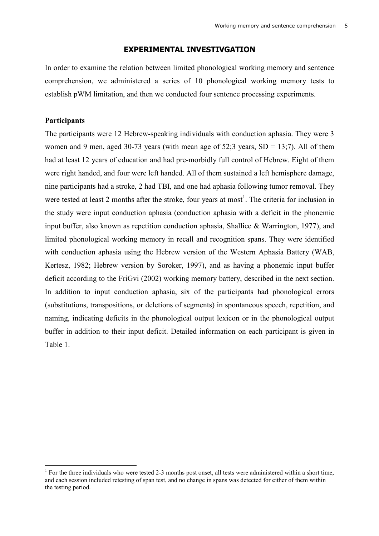### **EXPERIMENTAL INVESTIVGATION**

In order to examine the relation between limited phonological working memory and sentence comprehension, we administered a series of 10 phonological working memory tests to establish pWM limitation, and then we conducted four sentence processing experiments.

### **Participants**

The participants were 12 Hebrew-speaking individuals with conduction aphasia. They were 3 women and 9 men, aged 30-73 years (with mean age of  $52:3$  years,  $SD = 13:7$ ). All of them had at least 12 years of education and had pre-morbidly full control of Hebrew. Eight of them were right handed, and four were left handed. All of them sustained a left hemisphere damage, nine participants had a stroke, 2 had TBI, and one had aphasia following tumor removal. They were tested at least 2 months after the stroke, four years at most<sup>1</sup>. The criteria for inclusion in the study were input conduction aphasia (conduction aphasia with a deficit in the phonemic input buffer, also known as repetition conduction aphasia, Shallice & Warrington, 1977), and limited phonological working memory in recall and recognition spans. They were identified with conduction aphasia using the Hebrew version of the Western Aphasia Battery (WAB, Kertesz, 1982; Hebrew version by Soroker, 1997), and as having a phonemic input buffer deficit according to the FriGvi (2002) working memory battery, described in the next section. In addition to input conduction aphasia, six of the participants had phonological errors (substitutions, transpositions, or deletions of segments) in spontaneous speech, repetition, and naming, indicating deficits in the phonological output lexicon or in the phonological output buffer in addition to their input deficit. Detailed information on each participant is given in Table 1.

<sup>&</sup>lt;sup>1</sup> For the three individuals who were tested 2-3 months post onset, all tests were administered within a short time, and each session included retesting of span test, and no change in spans was detected for either of them within the testing period.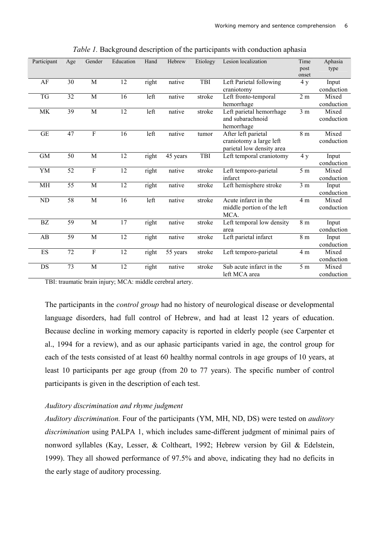| Participant              | Age | Gender         | Education | Hand  | Hebrew   | Etiology | Lesion localization        | Time<br>post   | Aphasia<br>type |
|--------------------------|-----|----------------|-----------|-------|----------|----------|----------------------------|----------------|-----------------|
|                          |     |                |           |       |          |          |                            | onset          |                 |
| AF                       | 30  | M              | 12        | right | native   | TBI      | Left Parietal following    | 4y             | Input           |
|                          |     |                |           |       |          |          | craniotomy                 |                | conduction      |
| TG                       | 32  | M              | 16        | left  | native   | stroke   | Left fronto-temporal       | 2m             | Mixed           |
|                          |     |                |           |       |          |          | hemorrhage                 |                | conduction      |
| MK                       | 39  | M              | 12        | left  | native   | stroke   | Left parietal hemorrhage   | 3 <sub>m</sub> | Mixed           |
|                          |     |                |           |       |          |          | and subarachnoid           |                | conduction      |
|                          |     |                |           |       |          |          | hemorrhage                 |                |                 |
| $\operatorname{GE}$      | 47  | $\overline{F}$ | 16        | left  | native   | tumor    | After left parietal        | 8 m            | Mixed           |
|                          |     |                |           |       |          |          | craniotomy a large left    |                | conduction      |
|                          |     |                |           |       |          |          | parietal low density area  |                |                 |
| $\mbox{GM}$              | 50  | $\mathbf M$    | 12        | right | 45 years | TBI      | Left temporal craniotomy   | 4y             | Input           |
|                          |     |                |           |       |          |          |                            |                | conduction      |
| YM                       | 52  | $\overline{F}$ | 12        | right | native   | stroke   | Left temporo-parietal      | 5 <sub>m</sub> | Mixed           |
|                          |     |                |           |       |          |          | infarct                    |                | conduction      |
| MH                       | 55  | M              | 12        | right | native   | stroke   | Left hemisphere stroke     | 3 <sub>m</sub> | Input           |
|                          |     |                |           |       |          |          |                            |                | conduction      |
| ND                       | 58  | M              | 16        | left  | native   | stroke   | Acute infarct in the       | 4 m            | Mixed           |
|                          |     |                |           |       |          |          | middle portion of the left |                | conduction      |
|                          |     |                |           |       |          |          | MCA.                       |                |                 |
| $\mathbf{B}\mathbf{Z}$   | 59  | $\mathbf M$    | 17        | right | native   | stroke   | Left temporal low density  | $8\ {\rm m}$   | Input           |
|                          |     |                |           |       |          |          | area                       |                | conduction      |
| AB                       | 59  | $\mathbf M$    | 12        | right | native   | stroke   | Left parietal infarct      | 8 <sub>m</sub> | Input           |
|                          |     |                |           |       |          |          |                            |                | conduction      |
| $\mathop{\hbox{\rm ES}}$ | 72  | ${\bf F}$      | 12        | right | 55 years | stroke   | Left temporo-parietal      | 4 m            | Mixed           |
|                          |     |                |           |       |          |          |                            |                | conduction      |
| DS                       | 73  | M              | 12        |       | native   | stroke   | Sub acute infarct in the   | 5 <sub>m</sub> | Mixed           |
|                          |     |                |           | right |          |          |                            |                |                 |
|                          |     |                |           |       |          |          | left MCA area              |                | conduction      |

*Table 1.* Background description of the participants with conduction aphasia

TBI: traumatic brain injury; MCA: middle cerebral artery.

The participants in the *control group* had no history of neurological disease or developmental language disorders, had full control of Hebrew, and had at least 12 years of education. Because decline in working memory capacity is reported in elderly people (see Carpenter et al., 1994 for a review), and as our aphasic participants varied in age, the control group for each of the tests consisted of at least 60 healthy normal controls in age groups of 10 years, at least 10 participants per age group (from 20 to 77 years). The specific number of control participants is given in the description of each test.

### *Auditory discrimination and rhyme judgment*

*Auditory discrimination.* Four of the participants (YM, MH, ND, DS) were tested on *auditory discrimination* using PALPA 1, which includes same-different judgment of minimal pairs of nonword syllables (Kay, Lesser, & Coltheart, 1992; Hebrew version by Gil & Edelstein, 1999). They all showed performance of 97.5% and above, indicating they had no deficits in the early stage of auditory processing.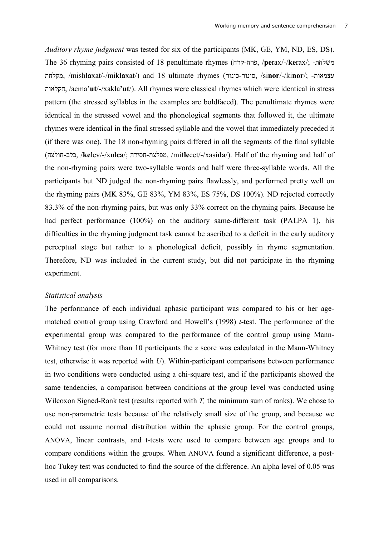*Auditory rhyme judgment* was tested for six of the participants (MK, GE, YM, ND, ES, DS). The 36 rhyming pairs consisted of 18 penultimate rhymes (NOQ-NOP, /**pe**rax/-/**ke**rax/; -RNSTU Anshlaxat/-/miklaxat/) and 18 ultimate rhymes (סינור-כינור, /sinor/-/kinor/; -עצמאות RV[SQN, /acma'**ut**/-/xakla**'ut**/). All rhymes were classical rhymes which were identical in stress pattern (the stressed syllables in the examples are boldfaced). The penultimate rhymes were identical in the stressed vowel and the phonological segments that followed it, the ultimate rhymes were identical in the final stressed syllable and the vowel that immediately preceded it (if there was one). The 18 non-rhyming pairs differed in all the segments of the final syllable (\_\SVN-^SZ, /**ke**lev/-/xul**ca**/; \_`XYN-R\SPU, /mif**le**cet/-/xasi**da**/). Half of the rhyming and half of the non-rhyming pairs were two-syllable words and half were three-syllable words. All the participants but ND judged the non-rhyming pairs flawlessly, and performed pretty well on the rhyming pairs (MK 83%, GE 83%, YM 83%, ES 75%, DS 100%). ND rejected correctly 83.3% of the non-rhyming pairs, but was only 33% correct on the rhyming pairs. Because he had perfect performance (100%) on the auditory same-different task (PALPA 1), his difficulties in the rhyming judgment task cannot be ascribed to a deficit in the early auditory perceptual stage but rather to a phonological deficit, possibly in rhyme segmentation. Therefore, ND was included in the current study, but did not participate in the rhyming experiment.

#### *Statistical analysis*

The performance of each individual aphasic participant was compared to his or her agematched control group using Crawford and Howell's (1998) *t*-test. The performance of the experimental group was compared to the performance of the control group using Mann-Whitney test (for more than 10 participants the *z* score was calculated in the Mann-Whitney test, otherwise it was reported with *U*). Within-participant comparisons between performance in two conditions were conducted using a chi-square test, and if the participants showed the same tendencies, a comparison between conditions at the group level was conducted using Wilcoxon Signed-Rank test (results reported with *T,* the minimum sum of ranks). We chose to use non-parametric tests because of the relatively small size of the group, and because we could not assume normal distribution within the aphasic group. For the control groups, ANOVA, linear contrasts, and t-tests were used to compare between age groups and to compare conditions within the groups. When ANOVA found a significant difference, a posthoc Tukey test was conducted to find the source of the difference. An alpha level of 0.05 was used in all comparisons.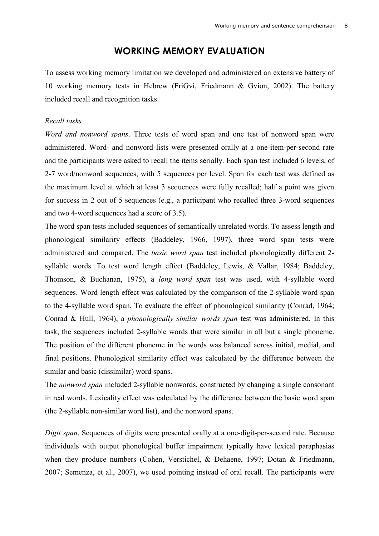# **WORKING MEMORY EVALUATION**

To assess working memory limitation we developed and administered an extensive battery of 10 working memory tests in Hebrew (FriGvi, Friedmann & Gvion, 2002). The battery included recall and recognition tasks.

#### *Recall tasks*

*Word and nonword spans*. Three tests of word span and one test of nonword span were administered. Word- and nonword lists were presented orally at a one-item-per-second rate and the participants were asked to recall the items serially. Each span test included 6 levels, of 2-7 word/nonword sequences, with 5 sequences per level. Span for each test was defined as the maximum level at which at least 3 sequences were fully recalled; half a point was given for success in 2 out of 5 sequences (e.g., a participant who recalled three 3-word sequences and two 4-word sequences had a score of 3.5).

The word span tests included sequences of semantically unrelated words. To assess length and phonological similarity effects (Baddeley, 1966, 1997), three word span tests were administered and compared. The *basic word span* test included phonologically different 2 syllable words. To test word length effect (Baddeley, Lewis, & Vallar, 1984; Baddeley, Thomson, & Buchanan, 1975), a *long word span* test was used, with 4-syllable word sequences. Word length effect was calculated by the comparison of the 2-syllable word span to the 4-syllable word span. To evaluate the effect of phonological similarity (Conrad, 1964; Conrad & Hull, 1964), a *phonologically similar words span* test was administered. In this task, the sequences included 2-syllable words that were similar in all but a single phoneme. The position of the different phoneme in the words was balanced across initial, medial, and final positions. Phonological similarity effect was calculated by the difference between the similar and basic (dissimilar) word spans.

The *nonword span* included 2-syllable nonwords, constructed by changing a single consonant in real words. Lexicality effect was calculated by the difference between the basic word span (the 2-syllable non-similar word list), and the nonword spans.

*Digit span*. Sequences of digits were presented orally at a one-digit-per-second rate. Because individuals with output phonological buffer impairment typically have lexical paraphasias when they produce numbers (Cohen, Verstichel, & Dehaene, 1997; Dotan & Friedmann, 2007; Semenza, et al., 2007), we used pointing instead of oral recall. The participants were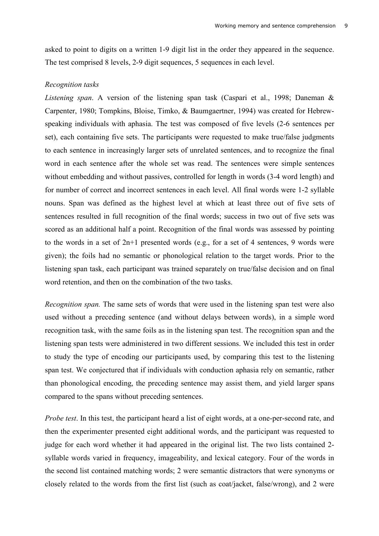asked to point to digits on a written 1-9 digit list in the order they appeared in the sequence. The test comprised 8 levels, 2-9 digit sequences, 5 sequences in each level.

### *Recognition tasks*

*Listening span*. A version of the listening span task (Caspari et al., 1998; Daneman & Carpenter, 1980; Tompkins, Bloise, Timko, & Baumgaertner, 1994) was created for Hebrewspeaking individuals with aphasia. The test was composed of five levels (2-6 sentences per set), each containing five sets. The participants were requested to make true/false judgments to each sentence in increasingly larger sets of unrelated sentences, and to recognize the final word in each sentence after the whole set was read. The sentences were simple sentences without embedding and without passives, controlled for length in words (3-4 word length) and for number of correct and incorrect sentences in each level. All final words were 1-2 syllable nouns. Span was defined as the highest level at which at least three out of five sets of sentences resulted in full recognition of the final words; success in two out of five sets was scored as an additional half a point. Recognition of the final words was assessed by pointing to the words in a set of 2n+1 presented words (e.g., for a set of 4 sentences, 9 words were given); the foils had no semantic or phonological relation to the target words. Prior to the listening span task, each participant was trained separately on true/false decision and on final word retention, and then on the combination of the two tasks.

*Recognition span.* The same sets of words that were used in the listening span test were also used without a preceding sentence (and without delays between words), in a simple word recognition task, with the same foils as in the listening span test. The recognition span and the listening span tests were administered in two different sessions. We included this test in order to study the type of encoding our participants used, by comparing this test to the listening span test. We conjectured that if individuals with conduction aphasia rely on semantic, rather than phonological encoding, the preceding sentence may assist them, and yield larger spans compared to the spans without preceding sentences.

*Probe test*. In this test, the participant heard a list of eight words, at a one-per-second rate, and then the experimenter presented eight additional words, and the participant was requested to judge for each word whether it had appeared in the original list. The two lists contained 2 syllable words varied in frequency, imageability, and lexical category. Four of the words in the second list contained matching words; 2 were semantic distractors that were synonyms or closely related to the words from the first list (such as coat/jacket, false/wrong), and 2 were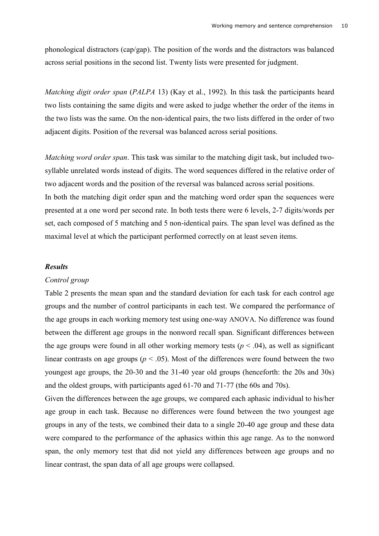phonological distractors (cap/gap). The position of the words and the distractors was balanced across serial positions in the second list. Twenty lists were presented for judgment.

*Matching digit order span* (*PALPA* 13) (Kay et al., 1992). In this task the participants heard two lists containing the same digits and were asked to judge whether the order of the items in the two lists was the same. On the non-identical pairs, the two lists differed in the order of two adjacent digits. Position of the reversal was balanced across serial positions.

*Matching word order span*. This task was similar to the matching digit task, but included twosyllable unrelated words instead of digits. The word sequences differed in the relative order of two adjacent words and the position of the reversal was balanced across serial positions.

In both the matching digit order span and the matching word order span the sequences were presented at a one word per second rate. In both tests there were 6 levels, 2-7 digits/words per set, each composed of 5 matching and 5 non-identical pairs. The span level was defined as the maximal level at which the participant performed correctly on at least seven items.

#### *Results*

#### *Control group*

Table 2 presents the mean span and the standard deviation for each task for each control age groups and the number of control participants in each test. We compared the performance of the age groups in each working memory test using one-way ANOVA. No difference was found between the different age groups in the nonword recall span. Significant differences between the age groups were found in all other working memory tests ( $p < .04$ ), as well as significant linear contrasts on age groups ( $p < .05$ ). Most of the differences were found between the two youngest age groups, the 20-30 and the 31-40 year old groups (henceforth: the 20s and 30s) and the oldest groups, with participants aged 61-70 and 71-77 (the 60s and 70s).

Given the differences between the age groups, we compared each aphasic individual to his/her age group in each task. Because no differences were found between the two youngest age groups in any of the tests, we combined their data to a single 20-40 age group and these data were compared to the performance of the aphasics within this age range. As to the nonword span, the only memory test that did not yield any differences between age groups and no linear contrast, the span data of all age groups were collapsed.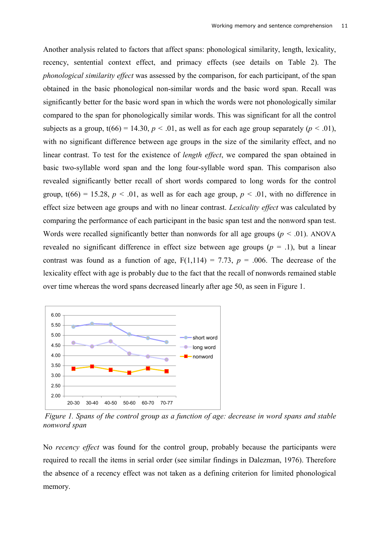Another analysis related to factors that affect spans: phonological similarity, length, lexicality, recency, sentential context effect, and primacy effects (see details on Table 2). The *phonological similarity effect* was assessed by the comparison, for each participant, of the span obtained in the basic phonological non-similar words and the basic word span. Recall was significantly better for the basic word span in which the words were not phonologically similar compared to the span for phonologically similar words. This was significant for all the control subjects as a group,  $t(66) = 14.30$ ,  $p < .01$ , as well as for each age group separately ( $p < .01$ ), with no significant difference between age groups in the size of the similarity effect, and no linear contrast. To test for the existence of *length effect*, we compared the span obtained in basic two-syllable word span and the long four-syllable word span. This comparison also revealed significantly better recall of short words compared to long words for the control group,  $t(66) = 15.28$ ,  $p < .01$ , as well as for each age group,  $p < .01$ , with no difference in effect size between age groups and with no linear contrast. *Lexicality effect* was calculated by comparing the performance of each participant in the basic span test and the nonword span test. Words were recalled significantly better than nonwords for all age groups ( $p < .01$ ). ANOVA revealed no significant difference in effect size between age groups  $(p = 0.1)$ , but a linear contrast was found as a function of age,  $F(1,114) = 7.73$ ,  $p = .006$ . The decrease of the lexicality effect with age is probably due to the fact that the recall of nonwords remained stable over time whereas the word spans decreased linearly after age 50, as seen in Figure 1.



*Figure 1. Spans of the control group as a function of age: decrease in word spans and stable nonword span*

No *recency effect* was found for the control group, probably because the participants were required to recall the items in serial order (see similar findings in Dalezman, 1976). Therefore the absence of a recency effect was not taken as a defining criterion for limited phonological memory.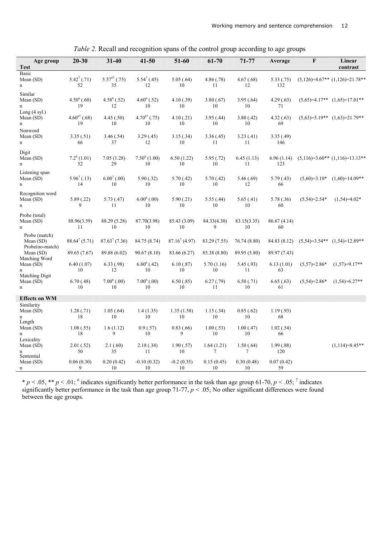| Age group<br><b>Test</b>                      | $20 - 30$               | $31 - 40$               | $41 - 50$               | 51-60              | 61-70            | 71-77               | Average           | $\bf F$        | Linear<br>contrast                 |
|-----------------------------------------------|-------------------------|-------------------------|-------------------------|--------------------|------------------|---------------------|-------------------|----------------|------------------------------------|
| <b>Basic</b><br>Mean (SD)<br>n                | $5.42^{7}$ (.71)<br>52  | $5.57^{67}$ (.75)<br>35 | $5.54^{7}$ (.45)<br>12  | 5.05(.64)<br>10    | 4.86(.78)<br>11  | 4.67(.68)<br>12     | 5.33(.75)<br>132  |                | $(5,126)=4.67**$ $(1,126)=21.78**$ |
| Similar<br>Mean (SD)<br>n                     | $4.50^6(.60)$<br>19     | $4.58^{6}$ (.52)<br>12  | $4.60^6$ (.52)<br>10    | 4.10(0.39)<br>10   | 3.80(.67)<br>10  | 3.95(.64)<br>10     | 4.29(.63)<br>71   |                | $(5,65)=4.17**$ $(1,65)=17.01**$   |
| Long (4 syl.)<br>Mean $(SD)$<br>n             | $4.60^{67}$ (.68)<br>19 | 4.45(.50)<br>10         | $4.70^{67}$ (.75)<br>10 | 4.10(0.21)<br>10   | 3.95(.44)<br>10  | 3.80(.42)<br>10     | 4.32(.63)<br>69   |                | $(5,63)=5.19**$ $(1,63)=21.79**$   |
| Nonword<br>Mean $(SD)$<br>n                   | 3.35(.51)<br>66         | 3.46(.54)<br>37         | 3.29(.45)<br>12         | 3.15(.34)<br>10    | 3.36(.45)<br>11  | 3.23(41)<br>11      | 3.35(.49)<br>146  |                |                                    |
| Digit<br>Mean (SD)<br>n                       | $7.2^6(1.01)$<br>52     | 7.05(1.28)<br>29        | $7.50^6(1.00)$<br>10    | 6.50(1.22)<br>10   | 5.95(.72)<br>10  | 6.45(1.13)<br>11    | 6.96(1.14)<br>123 |                | $(5,116)=3.60**$ $(1,116)=13.13**$ |
| Listening span<br>Mean (SD)<br>n              | $5.96^7(0.13)$<br>14    | $6.00^{7}$ (.00)<br>10  | 5.90(.32)<br>10         | 5.70(0.42)<br>10   | 5.70(.42)<br>10  | 5.46(.69)<br>12     | 5.79(0.43)<br>66  | $(5,60)=3.10*$ | $(1,60)=14.09**$                   |
| Recognition word<br>Mean (SD)<br>n            | 5.89(0.22)<br>9         | 5.73(0.47)<br>11        | $6.00^6(.00)$<br>10     | 5.90(.21)<br>10    | 5.55(.44)<br>10  | 5.65(.41)<br>10     | 5.78 (.36)<br>60  | $(5,54)=2.54*$ | $(1,54)=4.02*$                     |
| Probe (total)<br>Mean (SD)<br>n               | 88.96(3.59)<br>11       | 88.29 (5.28)<br>10      | 87.70(3.98)<br>10       | 85.43 (3.09)<br>10 | 84.33(4.30)<br>9 | 83.15(3.35)<br>10   | 86.67(4.14)<br>60 |                |                                    |
| Probe (match)<br>Mean (SD)<br>Probe(no-match) | $88.64^7(5.71)$         | $87.63^7(7.36)$         | 84.75 (8.74)            | $87.16^{7}$ (4.97) | 83.29 (7.55)     | 76.74 (8.80)        | 84.83 (8.12)      |                | $(5,54)=3.54**$ $(1,54)=12.89**$   |
| Mean (SD)                                     | 89.65 (7.67)            | 89.88 (6.02)            | 90.67(8.10)             | 83.66 (6.27)       | 85.38 (8.80)     | 89.95 (5.80)        | 89.97 (7.43)      |                |                                    |
| Matching Word<br>Mean (SD)<br>n               | 6.40(1.07)<br>10        | 6.33(.98)<br>12         | $6.80^{6}$ (.42)<br>10  | 6.10(.87)<br>10    | 5.70(1.16)<br>10 | 5.45(.93)<br>11     | 6.13(1.01)<br>63  | $(5,57)=2.86*$ | $(1,57)=9.17**$                    |
| Matching Digit<br>Mean (SD)<br>n              | 6.70(0.48)<br>10        | $7.006$ (.00)<br>10     | $7.006$ (.00)<br>10     | 6.50(.85)<br>10    | 6.27(.79)<br>11  | 6.50(.71)<br>10     | 6.65(.63)<br>61   | $(5,54)=2.86*$ | $(1,54)=6.27**$                    |
| <b>Effects on WM</b>                          |                         |                         |                         |                    |                  |                     |                   |                |                                    |
| Similarity<br>Mean (SD)<br>n                  | 1.28(.71)<br>18         | 1.05(.64)<br>10         | 1.4(1.35)<br>10         | 1.35(1.58)<br>10   | 1.15(.34)<br>10  | 0.85(.62)<br>10     | 1.19(0.93)<br>68  |                |                                    |
| Length<br>Mean (SD)<br>n                      | 1.08(.55)<br>18         | 1.6(1.12)<br>9          | 0.9(0.57)<br>10         | 0.83(0.66)<br>9    | 1.00(.53)<br>10  | 1.00(.47)<br>10     | 1.02(.54)<br>66   |                |                                    |
| Lexicality<br>Mean (SD)<br>n<br>Sentential    | 2.01(.52)<br>50         | 2.1(60)<br>35           | 2.18(.34)<br>11         | 1.90(.57)<br>10    | 1.64(1.21)<br>7  | 1.50(.64)<br>$\tau$ | 1.99(0.88)<br>120 |                | $(1,114)=8.45**$                   |
| Mean (SD)<br>n                                | 0.06(0.30)<br>9         | 0.20(0.42)<br>10        | $-0.10(0.32)$<br>10     | $-0.2(0.35)$<br>10 | 0.15(0.45)<br>10 | 0.30(0.48)<br>10    | 0.07(0.42)<br>59  |                |                                    |

|  | Table 2. Recall and recognition spans of the control group according to age groups |  |  |  |  |
|--|------------------------------------------------------------------------------------|--|--|--|--|
|  |                                                                                    |  |  |  |  |

 $* p < .05$ ,  $** p < .01$ ; <sup>6</sup> indicates significantly better performance in the task than age group 61-70,  $p < .05$ ; <sup>7</sup> indicates significantly better performance in the task than age group  $71-77$ ,  $p < .05$ ; No other significant differences were found between the age groups.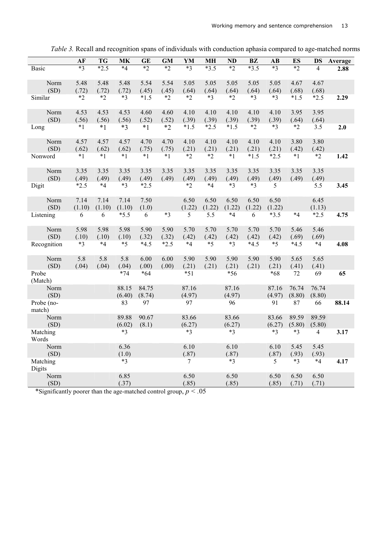|                           | AF             | <b>TG</b>      | <b>MK</b>      | <b>GE</b>     | <b>GM</b>     | YM                 | MН             | <b>ND</b>      | BZ             | AB             | ES            | DS             | Average |
|---------------------------|----------------|----------------|----------------|---------------|---------------|--------------------|----------------|----------------|----------------|----------------|---------------|----------------|---------|
| Basic                     | $*3$           | $*2.5$         | $*4$           | $*_{2}$       | $*2$          | $*3$               | $*3.5$         | $*2$           | $*3.5$         | $*3$           | $*2$          | 4              | 2.88    |
| Norm                      | 5.48           | 5.48           | 5.48           | 5.54          | 5.54          | 5.05               | 5.05           | 5.05           | 5.05           | 5.05           | 4.67          | 4.67           |         |
| (SD)                      | (.72)          | (.72)          | (.72)          | (.45)         | (.45)         | (.64)              | (.64)          | (.64)          | (.64)          | (.64)          | (.68)         | (.68)          |         |
| Similar                   | $*2$           | $*2$           | $*3$           | $*1.5$        | $*2$          | $*2$               | $*3$           | $*2$           | $*3$           | $*3$           | $*1.5$        | $*2.5$         | 2.29    |
| Norm<br>(SD)              | 4.53<br>(.56)  | 4.53<br>(.56)  | 4.53<br>(.56)  | 4.60<br>(.52) | 4.60<br>(.52) | 4.10<br>(.39)      | 4.10<br>(.39)  | 4.10<br>(.39)  | 4.10<br>(.39)  | 4.10<br>(.39)  | 3.95<br>(.64) | 3.95<br>(.64)  |         |
| Long                      | $*1$           | $*1$           | $*3$           | $*1$          | $*2$          | $*1.5$             | $*2.5$         | $*1.5$         | $*2$           | $*3$           | $*2$          | 3.5            | 2.0     |
| Norm<br>(SD)              | 4.57<br>(.62)  | 4.57<br>(.62)  | 4.57<br>(.62)  | 4.70<br>(.75) | 4.70<br>(.75) | 4.10<br>(.21)      | 4.10<br>(.21)  | 4.10<br>(.21)  | 4.10<br>(.21)  | 4.10<br>(.21)  | 3.80<br>(.42) | 3.80<br>(.42)  |         |
| Nonword                   | $*1$           | $*1$           | $*1$           | $*1$          | $*1$          | $*2$               | $*2$           | $*1$           | $*1.5$         | $*2.5$         | $*1$          | $*2$           | 1.42    |
| Norm<br>(SD)              | 3.35<br>(.49)  | 3.35<br>(.49)  | 3.35<br>(.49)  | 3.35<br>(.49) | 3.35<br>(.49) | 3.35<br>(.49)      | 3.35<br>(.49)  | 3.35<br>(.49)  | 3.35<br>(.49)  | 3.35<br>(.49)  | 3.35<br>(.49) | 3.35<br>(.49)  |         |
| Digit                     | $*2.5$         | $*4$           | $*3$           | $*2.5$        |               | $*2$               | $*4$           | $*3$           | $*3$           | 5              |               | 5.5            | 3.45    |
| Norm<br>(SD)              | 7.14<br>(1.10) | 7.14<br>(1.10) | 7.14<br>(1.10) | 7.50<br>(1.0) |               | 6.50<br>(1.22)     | 6.50<br>(1.22) | 6.50<br>(1.22) | 6.50<br>(1.22) | 6.50<br>(1.22) |               | 6.45<br>(1.13) |         |
| Listening                 | 6              | 6              | $*5.5$         | 6             | $*3$          | 5                  | 5.5            | $*4$           | 6              | $*3.5$         | $*4$          | $*2.5$         | 4.75    |
| Norm<br>(SD)              | 5.98<br>(.10)  | 5.98<br>(.10)  | 5.98<br>(.10)  | 5.90<br>(.32) | 5.90<br>(.32) | 5.70<br>(.42)      | 5.70<br>(.42)  | 5.70<br>(.42)  | 5.70<br>(.42)  | 5.70<br>(.42)  | 5.46<br>(.69) | 5.46<br>(.69)  |         |
| Recognition               | $*3$           | $*4$           | $*5$           | $*4.5$        | $*2.5$        | $*4$               | $*5$           | $*3$           | $*4.5$         | $*5$           | $*4.5$        | $*4$           | 4.08    |
| Norm                      | 5.8            | 5.8            | 5.8            | 6.00          | 6.00          | 5.90               | 5.90           | 5.90           | 5.90           | 5.90           | 5.65          | 5.65           |         |
| (SD)                      | (.04)          | (.04)          | (.04)          | (.00)         | (.00)         | (.21)              | (.21)          | (.21)          | (.21)          | (.21)          | (.41)         | (.41)          |         |
| Probe<br>(Match)          |                |                | $*74$          | $*64$         |               | $*51$              |                | *56            |                | $*68$          | 72            | 69             | 65      |
| Norm                      |                |                | 88.15          | 84.75         |               | 87.16              |                | 87.16          |                | 87.16          | 76.74         | 76.74          |         |
| (SD)<br>Probe (no-        |                |                | (6.40)<br>83   | (8.74)<br>97  |               | (4.97)<br>97       |                | (4.97)<br>96   |                | (4.97)<br>91   | (8.80)<br>87  | (8.80)<br>66   | 88.14   |
| match)                    |                |                |                |               |               |                    |                |                |                |                |               |                |         |
| Norm                      |                |                | 89.88          | 90.67         |               | 83.66              |                | 83.66          |                | 83.66          | 89.59         | 89.59          |         |
| (SD)                      |                |                | (6.02)         | (8.1)         |               | (6.27)<br>$*3$     |                | (6.27)<br>$*3$ |                | (6.27)         | (5.80)        | (5.80)         |         |
| Matching<br>Words         |                |                | $*3$           |               |               |                    |                |                |                | $*3$           | $*3$          | $\overline{4}$ | 3.17    |
| Norm<br>(SD)              |                |                | 6.36<br>(1.0)  |               |               | 6.10<br>(.87)      |                | 6.10<br>(.87)  |                | 6.10<br>(.87)  | 5.45<br>(.93) | 5.45<br>(.93)  |         |
| Matching                  |                |                | $*3$           |               |               | 7                  |                | $*3$           |                | 5              | $*3$          | $*4$           | 4.17    |
| <b>Digits</b><br>Norm     |                |                | 6.85           |               |               | 6.50               |                | 6.50           |                | 6.50           | 6.50          | 6.50           |         |
| (SD)<br>$*$ Cianificantly |                |                | (.37)          |               |               | (.85)<br>$\sim 05$ |                | (.85)          |                | (.85)          | (.71)         | (.71)          |         |

*Table 3.* Recall and recognition spans of individuals with conduction aphasia compared to age-matched norms

\*Significantly poorer than the age-matched control group, *p < .*05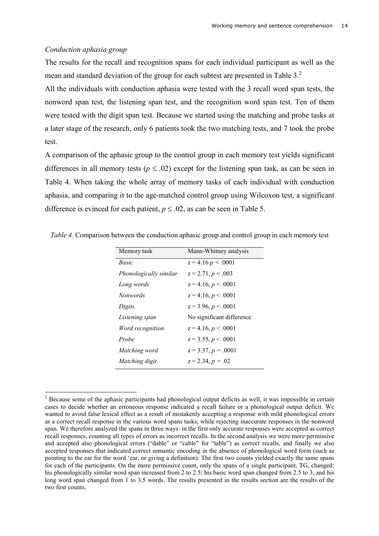### *Conduction aphasia group*

The results for the recall and recognition spans for each individual participant as well as the mean and standard deviation of the group for each subtest are presented in Table 3.<sup>2</sup>

All the individuals with conduction aphasia were tested with the 3 recall word span tests, the nonword span test, the listening span test, and the recognition word span test. Ten of them were tested with the digit span test. Because we started using the matching and probe tasks at a later stage of the research, only 6 patients took the two matching tests, and 7 took the probe test.

A comparison of the aphasic group to the control group in each memory test yields significant differences in all memory tests ( $p \leq .02$ ) except for the listening span task, as can be seen in Table 4. When taking the whole array of memory tasks of each individual with conduction aphasia, and comparing it to the age-matched control group using Wilcoxon test, a significant difference is evinced for each patient,  $p \leq 0.02$ , as can be seen in Table 5.

| Memory task            | Mann-Whitney analysis     |
|------------------------|---------------------------|
| Basic                  | $z = 4.16 p \le 0.001$    |
| Phonologically similar | $z = 2.71, p < .003$      |
| Long words             | $z = 4.16, p < .0001$     |
| <i>Nonwords</i>        | $z = 4.16, p < .0001$     |
| Digits                 | $z = 3.96, p < .0001$     |
| Listening span         | No significant difference |
| Word recognition       | $z = 4.16, p < .0001$     |
| Probe                  | $z = 3.55, p < .0001$     |
| Matching word          | $z = 3.37, p = .0001$     |
| Matching digit         | $z = 2.34, p = .02$       |
|                        |                           |

*Table 4.* Comparison between the conduction aphasic group and control group in each memory test

<sup>&</sup>lt;sup>2</sup> Because some of the aphasic participants had phonological output deficits as well, it was impossible in certain cases to decide whether an erroneous response indicated a recall failure or a phonological output deficit. We wanted to avoid false lexical effect as a result of mistakenly accepting a response with mild phonological errors as a correct recall response in the various word spans tasks, while rejecting inaccurate responses in the nonword span. We therefore analyzed the spans in three ways: in the first only accurate responses were accepted as correct recall responses, counting all types of errors as incorrect recalls. In the second analysis we were more permissive and accepted also phonological errors ("dable" or "cable" for "table") as correct recalls, and finally we also accepted responses that indicated correct semantic encoding in the absence of phonological word form (such as pointing to the ear for the word 'ear, or giving a definition). The first two counts yielded exactly the same spans for each of the participants. On the more permissive count, only the spans of a single participant, TG, changed: his phonologically similar word span increased from 2 to 2.5; his basic word span changed from 2.5 to 3, and his long word span changed from 1 to 3.5 words. The results presented in the results section are the results of the two first counts.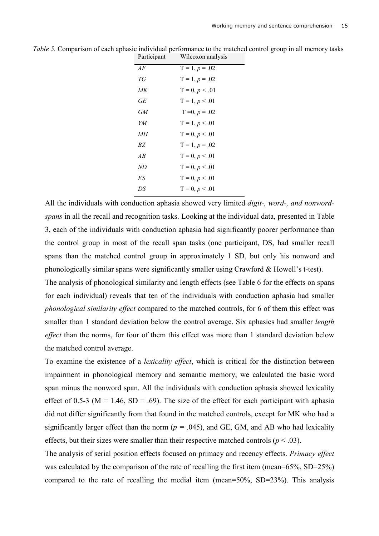| Participant | Wilcoxon analysis |
|-------------|-------------------|
| AF          | $T = 1, p = .02$  |
| ТG          | $T = 1, p = .02$  |
| МK          | $T = 0, p < 0.01$ |
| GЕ          | $T = 1, p < 0.01$ |
| GМ          | $T = 0, p = .02$  |
| YM          | $T = 1, p < 0.01$ |
| MН          | $T = 0, p < 0.01$ |
| ВZ          | $T = 1, p = .02$  |
| AB          | $T = 0, p < 0.01$ |
| ND          | $T = 0, p < 0.01$ |
| ES          | $T = 0, p < 0.01$ |
| DS          | $T = 0, p < 0.01$ |
|             |                   |

*Table 5.* Comparison of each aphasic individual performance to the matched control group in all memory tasks

All the individuals with conduction aphasia showed very limited *digit-, word-, and nonwordspans* in all the recall and recognition tasks. Looking at the individual data, presented in Table 3, each of the individuals with conduction aphasia had significantly poorer performance than the control group in most of the recall span tasks (one participant, DS, had smaller recall spans than the matched control group in approximately 1 SD, but only his nonword and phonologically similar spans were significantly smaller using Crawford & Howell's t-test).

The analysis of phonological similarity and length effects (see Table 6 for the effects on spans for each individual) reveals that ten of the individuals with conduction aphasia had smaller *phonological similarity effect* compared to the matched controls, for 6 of them this effect was smaller than 1 standard deviation below the control average. Six aphasics had smaller *length effect* than the norms, for four of them this effect was more than 1 standard deviation below the matched control average.

To examine the existence of a *lexicality effect*, which is critical for the distinction between impairment in phonological memory and semantic memory, we calculated the basic word span minus the nonword span. All the individuals with conduction aphasia showed lexicality effect of 0.5-3 ( $M = 1.46$ ,  $SD = .69$ ). The size of the effect for each participant with aphasia did not differ significantly from that found in the matched controls, except for MK who had a significantly larger effect than the norm ( $p = .045$ ), and GE, GM, and AB who had lexicality effects, but their sizes were smaller than their respective matched controls ( $p < .03$ ).

The analysis of serial position effects focused on primacy and recency effects. *Primacy effect* was calculated by the comparison of the rate of recalling the first item (mean=65%, SD=25%) compared to the rate of recalling the medial item (mean=50%, SD=23%). This analysis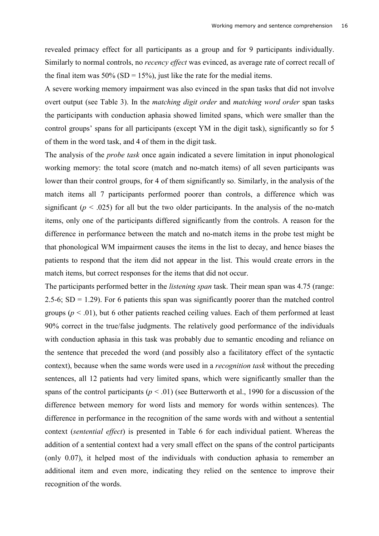revealed primacy effect for all participants as a group and for 9 participants individually. Similarly to normal controls, no *recency effect* was evinced, as average rate of correct recall of the final item was  $50\%$  (SD = 15%), just like the rate for the medial items.

A severe working memory impairment was also evinced in the span tasks that did not involve overt output (see Table 3). In the *matching digit order* and *matching word order* span tasks the participants with conduction aphasia showed limited spans, which were smaller than the control groups' spans for all participants (except YM in the digit task), significantly so for 5 of them in the word task, and 4 of them in the digit task.

The analysis of the *probe task* once again indicated a severe limitation in input phonological working memory: the total score (match and no-match items) of all seven participants was lower than their control groups, for 4 of them significantly so. Similarly, in the analysis of the match items all 7 participants performed poorer than controls, a difference which was significant ( $p < .025$ ) for all but the two older participants. In the analysis of the no-match items, only one of the participants differed significantly from the controls. A reason for the difference in performance between the match and no-match items in the probe test might be that phonological WM impairment causes the items in the list to decay, and hence biases the patients to respond that the item did not appear in the list. This would create errors in the match items, but correct responses for the items that did not occur.

The participants performed better in the *listening span* task. Their mean span was 4.75 (range: 2.5-6;  $SD = 1.29$ ). For 6 patients this span was significantly poorer than the matched control groups  $(p < .01)$ , but 6 other patients reached ceiling values. Each of them performed at least 90% correct in the true/false judgments. The relatively good performance of the individuals with conduction aphasia in this task was probably due to semantic encoding and reliance on the sentence that preceded the word (and possibly also a facilitatory effect of the syntactic context), because when the same words were used in a *recognition task* without the preceding sentences, all 12 patients had very limited spans, which were significantly smaller than the spans of the control participants ( $p < .01$ ) (see Butterworth et al., 1990 for a discussion of the difference between memory for word lists and memory for words within sentences). The difference in performance in the recognition of the same words with and without a sentential context (*sentential effect*) is presented in Table 6 for each individual patient. Whereas the addition of a sentential context had a very small effect on the spans of the control participants (only 0.07), it helped most of the individuals with conduction aphasia to remember an additional item and even more, indicating they relied on the sentence to improve their recognition of the words.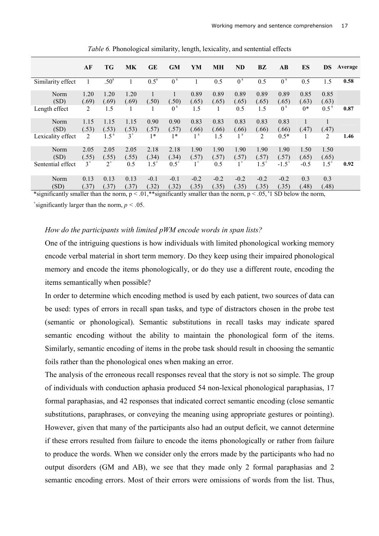|                                                             | AF                                           | <b>TG</b>        | МK            | <b>GE</b>                       | <b>GM</b>                         | YM                     | MН              | <b>ND</b>                   | BZ              | $\mathbf{A}\mathbf{B}$                | ES            | DS               | Average |
|-------------------------------------------------------------|----------------------------------------------|------------------|---------------|---------------------------------|-----------------------------------|------------------------|-----------------|-----------------------------|-----------------|---------------------------------------|---------------|------------------|---------|
| Similarity effect                                           |                                              | .50 <sup>s</sup> |               | 0.5 <sup>s</sup>                | $\overline{0}$ s                  |                        | 0.5             | $\overline{0}$ <sup>s</sup> | 0.5             | $\overline{0}$ <sup>s</sup>           | 0.5           | 1.5              | 0.58    |
| Norm<br>(SD)                                                | 1.20<br>(.69)                                | 1.20<br>(.69)    | 1.20<br>(.69) | (.50)                           | (.50)                             | 0.89<br>(.65)          | 0.89<br>(.65)   | 0.89<br>(.65)               | 0.89<br>(.65)   | 0.89<br>(.65)                         | 0.85<br>(.63) | 0.85<br>(.63)    |         |
| Length effect                                               | 2                                            | 1.5              | 1             |                                 | 0 <sup>s</sup>                    | 1.5                    |                 | 0.5                         | 1.5             | 0 <sup>s</sup>                        | $0*$          | 0.5 <sup>s</sup> | 0.87    |
| Norm<br>(SD)                                                | 1.15<br>(.53)                                | 1.15<br>(.53)    | 1.15<br>(.53) | 0.90<br>(.57)                   | 0.90<br>(.57)                     | 0.83<br>(.66)          | 0.83<br>(.66)   | 0.83<br>(.66)               | 0.83<br>(.66)   | 0.83<br>(.66)                         | (.47)         | (.47)            |         |
| Lexicality effect                                           | $\overline{2}$                               | 1.5 <sup>s</sup> | $3^+$         | $1*$                            | $1*$                              | 1 <sup>s</sup>         | 1.5             | 1 <sup>s</sup>              | 2               | $0.5*$                                |               | $\overline{2}$   | 1.46    |
| Norm<br>(SD)                                                | 2.05<br>(.55)                                | 2.05<br>(.55)    | 2.05<br>(.55) | 2.18<br>(.34)                   | 2.18<br>(.34)                     | 1.90<br>(.57)          | 1.90<br>(.57)   | 1.90<br>(.57)               | 1.90<br>(.57)   | 1.90<br>(.57)                         | 1.50<br>(.65) | 1.50<br>(.65)    |         |
| Sentential effect                                           | $3^+$                                        | $2^+$            | 0.5           | $1.5^{+}$                       | $0.5^+$                           | $1^+$                  | 0.5             | $1^+$                       | $1.5^{+}$       | $-1.5^{+}$                            | $-0.5$        | $1.5^{+}$        | 0.92    |
| Norm<br>(SD)<br>$\cdot$ $\sim$<br>$\mathbf{a}$ $\mathbf{b}$ | 0.13<br>(.37)<br>$\mathbf{H}$ , $\mathbf{H}$ | 0.13<br>(.37)    | 0.13<br>(.37) | $-0.1$<br>(.32)<br>$0.4 - 0.01$ | $-0.1$<br>(.32)<br>$\cdot$ $\sim$ | $-0.2$<br>(.35)<br>11. | $-0.2$<br>(.35) | $-0.2$<br>(.35)             | $-0.2$<br>(.35) | $-0.2$<br>(.35)<br>$0 = 51.023 + 1.1$ | 0.3<br>(.48)  | 0.3<br>(.48)     |         |

*Table 6.* Phonological similarity, length, lexicality, and sentential effects

\*significantly smaller than the norm,  $p < .01$ ,\*\*significantly smaller than the norm,  $p < .05$ , \$1 SD below the norm, <sup>+</sup>significantly larger than the norm,  $p < .05$ .

### *How do the participants with limited pWM encode words in span lists?*

One of the intriguing questions is how individuals with limited phonological working memory encode verbal material in short term memory. Do they keep using their impaired phonological memory and encode the items phonologically, or do they use a different route, encoding the items semantically when possible?

In order to determine which encoding method is used by each patient, two sources of data can be used: types of errors in recall span tasks, and type of distractors chosen in the probe test (semantic or phonological). Semantic substitutions in recall tasks may indicate spared semantic encoding without the ability to maintain the phonological form of the items. Similarly, semantic encoding of items in the probe task should result in choosing the semantic foils rather than the phonological ones when making an error.

The analysis of the erroneous recall responses reveal that the story is not so simple. The group of individuals with conduction aphasia produced 54 non-lexical phonological paraphasias, 17 formal paraphasias, and 42 responses that indicated correct semantic encoding (close semantic substitutions, paraphrases, or conveying the meaning using appropriate gestures or pointing). However, given that many of the participants also had an output deficit, we cannot determine if these errors resulted from failure to encode the items phonologically or rather from failure to produce the words. When we consider only the errors made by the participants who had no output disorders (GM and AB), we see that they made only 2 formal paraphasias and 2 semantic encoding errors. Most of their errors were omissions of words from the list. Thus,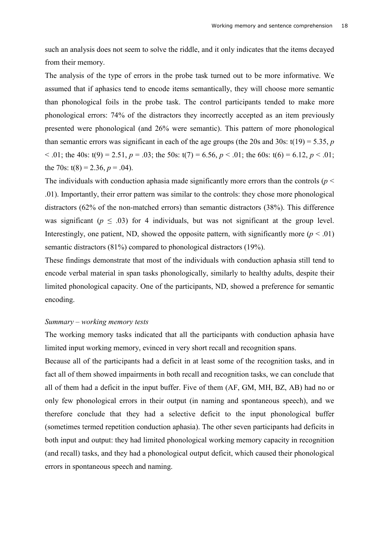such an analysis does not seem to solve the riddle, and it only indicates that the items decayed from their memory.

The analysis of the type of errors in the probe task turned out to be more informative. We assumed that if aphasics tend to encode items semantically, they will choose more semantic than phonological foils in the probe task. The control participants tended to make more phonological errors: 74% of the distractors they incorrectly accepted as an item previously presented were phonological (and 26% were semantic). This pattern of more phonological than semantic errors was significant in each of the age groups (the 20s and 30s:  $t(19) = 5.35$ , *p*  $\leq$  .01; the 40s: t(9) = 2.51, *p* = .03; the 50s: t(7) = 6.56, *p*  $\leq$  .01; the 60s: t(6) = 6.12, *p*  $\leq$  .01; the 70s:  $t(8) = 2.36$ ,  $p = .04$ ).

The individuals with conduction aphasia made significantly more errors than the controls ( $p <$ .01). Importantly, their error pattern was similar to the controls: they chose more phonological distractors (62% of the non-matched errors) than semantic distractors (38%). This difference was significant ( $p \leq .03$ ) for 4 individuals, but was not significant at the group level. Interestingly, one patient, ND, showed the opposite pattern, with significantly more  $(p < .01)$ semantic distractors (81%) compared to phonological distractors (19%).

These findings demonstrate that most of the individuals with conduction aphasia still tend to encode verbal material in span tasks phonologically, similarly to healthy adults, despite their limited phonological capacity. One of the participants, ND, showed a preference for semantic encoding.

#### *Summary – working memory tests*

The working memory tasks indicated that all the participants with conduction aphasia have limited input working memory, evinced in very short recall and recognition spans.

Because all of the participants had a deficit in at least some of the recognition tasks, and in fact all of them showed impairments in both recall and recognition tasks, we can conclude that all of them had a deficit in the input buffer. Five of them (AF, GM, MH, BZ, AB) had no or only few phonological errors in their output (in naming and spontaneous speech), and we therefore conclude that they had a selective deficit to the input phonological buffer (sometimes termed repetition conduction aphasia). The other seven participants had deficits in both input and output: they had limited phonological working memory capacity in recognition (and recall) tasks, and they had a phonological output deficit, which caused their phonological errors in spontaneous speech and naming.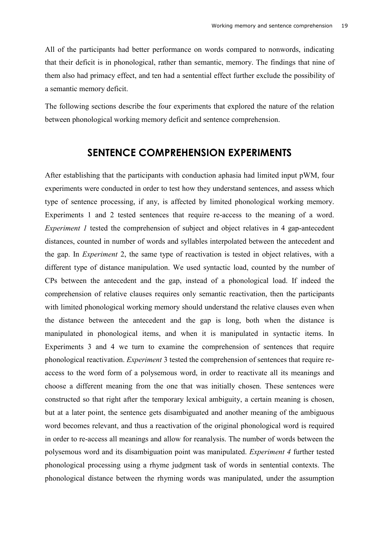All of the participants had better performance on words compared to nonwords, indicating that their deficit is in phonological, rather than semantic, memory. The findings that nine of them also had primacy effect, and ten had a sentential effect further exclude the possibility of a semantic memory deficit.

The following sections describe the four experiments that explored the nature of the relation between phonological working memory deficit and sentence comprehension.

# **SENTENCE COMPREHENSION EXPERIMENTS**

After establishing that the participants with conduction aphasia had limited input pWM, four experiments were conducted in order to test how they understand sentences, and assess which type of sentence processing, if any, is affected by limited phonological working memory. Experiments 1 and 2 tested sentences that require re-access to the meaning of a word. *Experiment 1* tested the comprehension of subject and object relatives in 4 gap-antecedent distances, counted in number of words and syllables interpolated between the antecedent and the gap. In *Experiment* 2, the same type of reactivation is tested in object relatives, with a different type of distance manipulation. We used syntactic load, counted by the number of CPs between the antecedent and the gap, instead of a phonological load. If indeed the comprehension of relative clauses requires only semantic reactivation, then the participants with limited phonological working memory should understand the relative clauses even when the distance between the antecedent and the gap is long, both when the distance is manipulated in phonological items, and when it is manipulated in syntactic items. In Experiments 3 and 4 we turn to examine the comprehension of sentences that require phonological reactivation. *Experiment* 3 tested the comprehension of sentences that require reaccess to the word form of a polysemous word, in order to reactivate all its meanings and choose a different meaning from the one that was initially chosen. These sentences were constructed so that right after the temporary lexical ambiguity, a certain meaning is chosen, but at a later point, the sentence gets disambiguated and another meaning of the ambiguous word becomes relevant, and thus a reactivation of the original phonological word is required in order to re-access all meanings and allow for reanalysis. The number of words between the polysemous word and its disambiguation point was manipulated. *Experiment 4* further tested phonological processing using a rhyme judgment task of words in sentential contexts. The phonological distance between the rhyming words was manipulated, under the assumption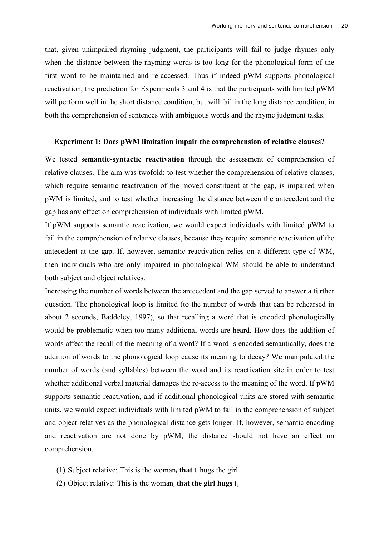that, given unimpaired rhyming judgment, the participants will fail to judge rhymes only when the distance between the rhyming words is too long for the phonological form of the first word to be maintained and re-accessed. Thus if indeed pWM supports phonological reactivation, the prediction for Experiments 3 and 4 is that the participants with limited pWM will perform well in the short distance condition, but will fail in the long distance condition, in both the comprehension of sentences with ambiguous words and the rhyme judgment tasks.

#### **Experiment 1: Does pWM limitation impair the comprehension of relative clauses?**

We tested **semantic-syntactic reactivation** through the assessment of comprehension of relative clauses. The aim was twofold: to test whether the comprehension of relative clauses, which require semantic reactivation of the moved constituent at the gap, is impaired when pWM is limited, and to test whether increasing the distance between the antecedent and the gap has any effect on comprehension of individuals with limited pWM.

If pWM supports semantic reactivation, we would expect individuals with limited pWM to fail in the comprehension of relative clauses, because they require semantic reactivation of the antecedent at the gap. If, however, semantic reactivation relies on a different type of WM, then individuals who are only impaired in phonological WM should be able to understand both subject and object relatives.

Increasing the number of words between the antecedent and the gap served to answer a further question. The phonological loop is limited (to the number of words that can be rehearsed in about 2 seconds, Baddeley, 1997), so that recalling a word that is encoded phonologically would be problematic when too many additional words are heard. How does the addition of words affect the recall of the meaning of a word? If a word is encoded semantically, does the addition of words to the phonological loop cause its meaning to decay? We manipulated the number of words (and syllables) between the word and its reactivation site in order to test whether additional verbal material damages the re-access to the meaning of the word. If pWM supports semantic reactivation, and if additional phonological units are stored with semantic units, we would expect individuals with limited pWM to fail in the comprehension of subject and object relatives as the phonological distance gets longer. If, however, semantic encoding and reactivation are not done by pWM, the distance should not have an effect on comprehension.

- (1) Subject relative: This is the womani **that** ti hugs the girl
- (2) Object relative: This is the woman<sub>i</sub> that the girl hugs  $t_i$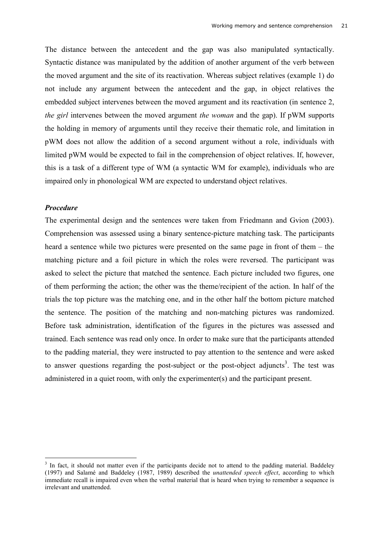The distance between the antecedent and the gap was also manipulated syntactically. Syntactic distance was manipulated by the addition of another argument of the verb between the moved argument and the site of its reactivation. Whereas subject relatives (example 1) do not include any argument between the antecedent and the gap, in object relatives the embedded subject intervenes between the moved argument and its reactivation (in sentence 2, *the girl* intervenes between the moved argument *the woman* and the gap). If pWM supports the holding in memory of arguments until they receive their thematic role, and limitation in pWM does not allow the addition of a second argument without a role, individuals with limited pWM would be expected to fail in the comprehension of object relatives. If, however, this is a task of a different type of WM (a syntactic WM for example), individuals who are impaired only in phonological WM are expected to understand object relatives.

# *Procedure*

The experimental design and the sentences were taken from Friedmann and Gvion (2003). Comprehension was assessed using a binary sentence-picture matching task. The participants heard a sentence while two pictures were presented on the same page in front of them – the matching picture and a foil picture in which the roles were reversed. The participant was asked to select the picture that matched the sentence. Each picture included two figures, one of them performing the action; the other was the theme/recipient of the action. In half of the trials the top picture was the matching one, and in the other half the bottom picture matched the sentence. The position of the matching and non-matching pictures was randomized. Before task administration, identification of the figures in the pictures was assessed and trained. Each sentence was read only once. In order to make sure that the participants attended to the padding material, they were instructed to pay attention to the sentence and were asked to answer questions regarding the post-subject or the post-object adjuncts<sup>3</sup>. The test was administered in a quiet room, with only the experimenter(s) and the participant present.

<sup>&</sup>lt;sup>3</sup> In fact, it should not matter even if the participants decide not to attend to the padding material. Baddeley (1997) and Salamé and Baddeley (1987, 1989) described the *unattended speech effect*, according to which immediate recall is impaired even when the verbal material that is heard when trying to remember a sequence is irrelevant and unattended.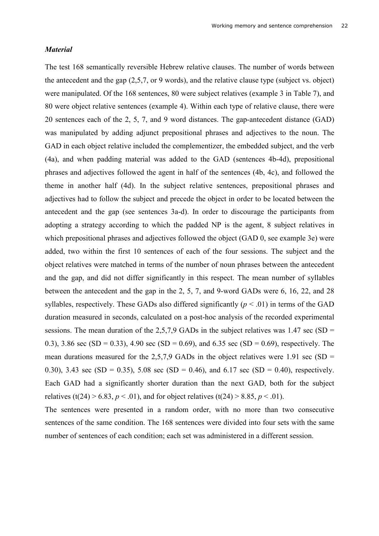# *Material*

The test 168 semantically reversible Hebrew relative clauses. The number of words between the antecedent and the gap (2,5,7, or 9 words), and the relative clause type (subject vs. object) were manipulated. Of the 168 sentences, 80 were subject relatives (example 3 in Table 7), and 80 were object relative sentences (example 4). Within each type of relative clause, there were 20 sentences each of the 2, 5, 7, and 9 word distances. The gap-antecedent distance (GAD) was manipulated by adding adjunct prepositional phrases and adjectives to the noun. The GAD in each object relative included the complementizer, the embedded subject, and the verb (4a), and when padding material was added to the GAD (sentences 4b-4d), prepositional phrases and adjectives followed the agent in half of the sentences (4b, 4c), and followed the theme in another half (4d). In the subject relative sentences, prepositional phrases and adjectives had to follow the subject and precede the object in order to be located between the antecedent and the gap (see sentences 3a-d). In order to discourage the participants from adopting a strategy according to which the padded NP is the agent, 8 subject relatives in which prepositional phrases and adjectives followed the object (GAD 0, see example 3e) were added, two within the first 10 sentences of each of the four sessions. The subject and the object relatives were matched in terms of the number of noun phrases between the antecedent and the gap, and did not differ significantly in this respect. The mean number of syllables between the antecedent and the gap in the 2, 5, 7, and 9-word GADs were 6, 16, 22, and 28 syllables, respectively. These GADs also differed significantly  $(p < .01)$  in terms of the GAD duration measured in seconds, calculated on a post-hoc analysis of the recorded experimental sessions. The mean duration of the  $2,5,7,9$  GADs in the subject relatives was 1.47 sec (SD = 0.3), 3.86 sec (SD = 0.33), 4.90 sec (SD = 0.69), and 6.35 sec (SD = 0.69), respectively. The mean durations measured for the 2,5,7,9 GADs in the object relatives were 1.91 sec (SD  $=$ 0.30), 3.43 sec (SD = 0.35), 5.08 sec (SD = 0.46), and 6.17 sec (SD = 0.40), respectively. Each GAD had a significantly shorter duration than the next GAD, both for the subject relatives (t(24) > 6.83,  $p < .01$ ), and for object relatives (t(24) > 8.85,  $p < .01$ ).

The sentences were presented in a random order, with no more than two consecutive sentences of the same condition. The 168 sentences were divided into four sets with the same number of sentences of each condition; each set was administered in a different session.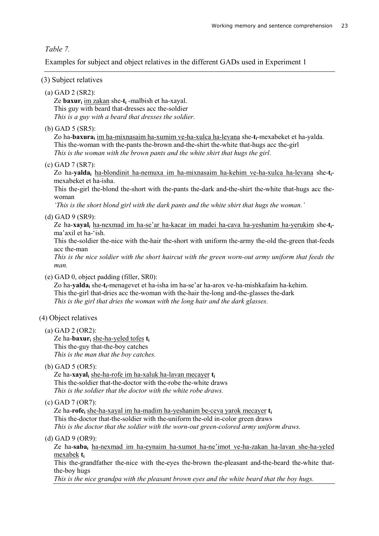# *Table 7.*

Examples for subject and object relatives in the different GADs used in Experiment 1

# (3) Subject relatives

# (a) GAD 2 (SR2):

Ze **baxuri** im zakan she-**ti** -malbish et ha-xayal. This guy with beard that-dresses acc the-soldier *This is a guy with a beard that dresses the soldier.* 

### (b) GAD 5 (SR5):

Zo ha-**baxurai** im ha-mixnasaim ha-xumim ve-ha-xulca ha-levana she-**ti**-mexabeket et ha-yalda. This the-woman with the-pants the-brown and-the-shirt the-white that-hugs acc the-girl *This is the woman with the brown pants and the white shirt that hugs the girl.* 

### (c) GAD 7 (SR7):

Zo ha-**yaldai** ha-blondinit ha-nemuxa im ha-mixnasaim ha-kehim ve-ha-xulca ha-levana she-**ti**mexabeket et ha-isha.

This the-girl the-blond the-short with the-pants the-dark and-the-shirt the-white that-hugs acc thewoman

*'This is the short blond girl with the dark pants and the white shirt that hugs the woman.'* 

# (d) GAD 9 (SR9):

Ze ha-**xayali** ha-nexmad im ha-se'ar ha-kacar im madei ha-cava ha-yeshanim ha-yerukim she-**ti**ma'axil et ha-'ish.

This the-soldier the-nice with the-hair the-short with uniform the-army the-old the-green that-feeds acc the-man

*This is the nice soldier with the short haircut with the green worn-out army uniform that feeds the man.* 

(e) GAD 0, object padding (filler, SR0):

Zo ha-**yaldai** she-**ti**-menagevet et ha-isha im ha-se'ar ha-arox ve-ha-mishkafaim ha-kehim. This the-girl that-dries acc the-woman with the-hair the-long and-the-glasses the-dark *This is the girl that dries the woman with the long hair and the dark glasses.* 

# (4) Object relatives

(a) GAD 2 (OR2):

Ze ha-**baxuri** she-ha-yeled tofes **ti** This the-guy that-the-boy catches *This is the man that the boy catches.* 

(b) GAD 5 (OR5):

Ze ha-**xayali** she-ha-rofe im ha-xaluk ha-lavan mecayer **ti** This the-soldier that-the-doctor with the-robe the-white draws *This is the soldier that the doctor with the white robe draws.* 

(c) GAD 7 (OR7):

Ze ha-**rofei** she-ha-xayal im ha-madim ha-yeshanim be-ceva yarok mecayer **ti** This the-doctor that-the-soldier with the-uniform the-old in-color green draws *This is the doctor that the soldier with the worn-out green-colored army uniform draws.* 

(d) GAD 9 (OR9):

Ze ha-**sabai** ha-nexmad im ha-eynaim ha-xumot ha-ne'imot ve-ha-zakan ha-lavan she-ha-yeled mexabek **ti**

This the-grandfather the-nice with the-eyes the-brown the-pleasant and-the-beard the-white thatthe-boy hugs

*This is the nice grandpa with the pleasant brown eyes and the white beard that the boy hugs.*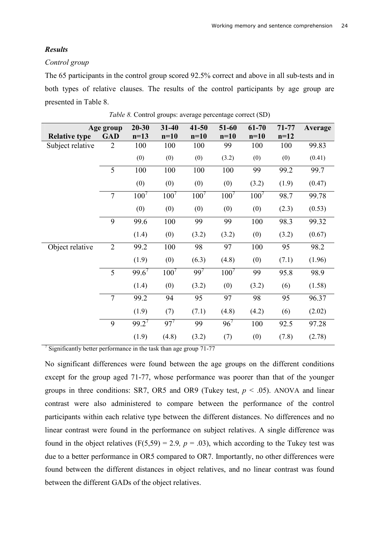# *Results*

### *Control group*

The 65 participants in the control group scored 92.5% correct and above in all sub-tests and in both types of relative clauses. The results of the control participants by age group are presented in Table 8.

|                      | Age group      | $20 - 30$ | $31 - 40$ | $41 - 50$ | 51-60    | 61-70     | $71 - 77$ | Average |
|----------------------|----------------|-----------|-----------|-----------|----------|-----------|-----------|---------|
| <b>Relative type</b> | <b>GAD</b>     | $n=13$    | $n=10$    | $n=10$    | $n=10$   | $n=10$    | $n=12$    |         |
| Subject relative     | $\overline{2}$ | 100       | 100       | 100       | 99       | 100       | 100       | 99.83   |
|                      |                | (0)       | (0)       | (0)       | (3.2)    | (0)       | (0)       | (0.41)  |
|                      | 5              | 100       | 100       | 100       | 100      | 99        | 99.2      | 99.7    |
|                      |                | (0)       | (0)       | (0)       | (0)      | (3.2)     | (1.9)     | (0.47)  |
|                      | $\overline{7}$ | $100^{7}$ | $100^{7}$ | $100^7$   | $100^7$  | $100^{7}$ | 98.7      | 99.78   |
|                      |                | (0)       | (0)       | (0)       | (0)      | (0)       | (2.3)     | (0.53)  |
|                      | 9              | 99.6      | 100       | 99        | 99       | 100       | 98.3      | 99.32   |
|                      |                | (1.4)     | (0)       | (3.2)     | (3.2)    | (0)       | (3.2)     | (0.67)  |
| Object relative      | $\overline{2}$ | 99.2      | 100       | 98        | 97       | 100       | 95        | 98.2    |
|                      |                | (1.9)     | (0)       | (6.3)     | (4.8)    | (0)       | (7.1)     | (1.96)  |
|                      | 5              | 99.6'     | 100'      | 99'       | 100'     | 99        | 95.8      | 98.9    |
|                      |                | (1.4)     | (0)       | (3.2)     | (0)      | (3.2)     | (6)       | (1.58)  |
|                      | $\overline{7}$ | 99.2      | 94        | 95        | 97       | 98        | 95        | 96.37   |
|                      |                | (1.9)     | (7)       | (7.1)     | (4.8)    | (4.2)     | (6)       | (2.02)  |
|                      | 9              | $99.2^7$  | $97^{7}$  | 99        | $96^{7}$ | 100       | 92.5      | 97.28   |
|                      |                | (1.9)     | (4.8)     | (3.2)     | (7)      | (0)       | (7.8)     | (2.78)  |

*Table 8.* Control groups: average percentage correct (SD)

<sup>7</sup> Significantly better performance in the task than age group 71-77

No significant differences were found between the age groups on the different conditions except for the group aged 71-77, whose performance was poorer than that of the younger groups in three conditions: SR7, OR5 and OR9 (Tukey test,  $p < .05$ ). ANOVA and linear contrast were also administered to compare between the performance of the control participants within each relative type between the different distances. No differences and no linear contrast were found in the performance on subject relatives. A single difference was found in the object relatives  $(F(5,59) = 2.9, p = .03)$ , which according to the Tukey test was due to a better performance in OR5 compared to OR7. Importantly, no other differences were found between the different distances in object relatives, and no linear contrast was found between the different GADs of the object relatives.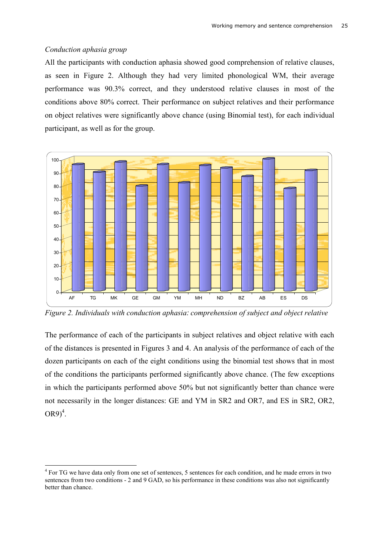# *Conduction aphasia group*

All the participants with conduction aphasia showed good comprehension of relative clauses, as seen in Figure 2. Although they had very limited phonological WM, their average performance was 90.3% correct, and they understood relative clauses in most of the conditions above 80% correct. Their performance on subject relatives and their performance on object relatives were significantly above chance (using Binomial test), for each individual participant, as well as for the group.



*Figure 2. Individuals with conduction aphasia: comprehension of subject and object relative* 

The performance of each of the participants in subject relatives and object relative with each of the distances is presented in Figures 3 and 4. An analysis of the performance of each of the dozen participants on each of the eight conditions using the binomial test shows that in most of the conditions the participants performed significantly above chance. (The few exceptions in which the participants performed above 50% but not significantly better than chance were not necessarily in the longer distances: GE and YM in SR2 and OR7, and ES in SR2, OR2,  $OR9)^4$ .

<sup>&</sup>lt;sup>4</sup> For TG we have data only from one set of sentences, 5 sentences for each condition, and he made errors in two sentences from two conditions - 2 and 9 GAD, so his performance in these conditions was also not significantly better than chance.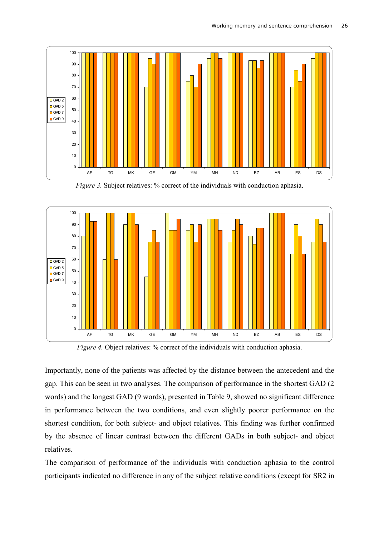

*Figure 3.* Subject relatives: % correct of the individuals with conduction aphasia.



*Figure 4.* Object relatives: % correct of the individuals with conduction aphasia.

Importantly, none of the patients was affected by the distance between the antecedent and the gap. This can be seen in two analyses. The comparison of performance in the shortest GAD (2 words) and the longest GAD (9 words), presented in Table 9, showed no significant difference in performance between the two conditions, and even slightly poorer performance on the shortest condition, for both subject- and object relatives. This finding was further confirmed by the absence of linear contrast between the different GADs in both subject- and object relatives.

The comparison of performance of the individuals with conduction aphasia to the control participants indicated no difference in any of the subject relative conditions (except for SR2 in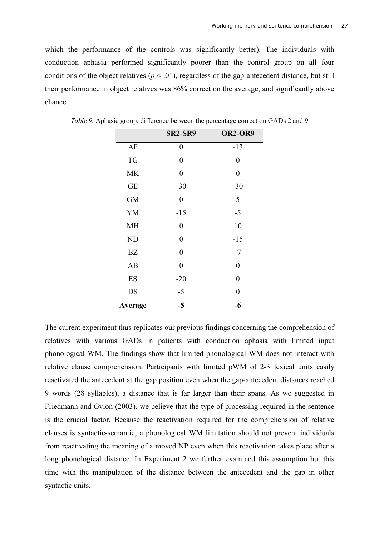which the performance of the controls was significantly better). The individuals with conduction aphasia performed significantly poorer than the control group on all four conditions of the object relatives ( $p < .01$ ), regardless of the gap-antecedent distance, but still their performance in object relatives was 86% correct on the average, and significantly above chance.

|           | <b>SR2-SR9</b>   | <b>OR2-OR9</b>   |
|-----------|------------------|------------------|
| AF        | $\boldsymbol{0}$ | $-13$            |
| <b>TG</b> | $\boldsymbol{0}$ | 0                |
| <b>MK</b> | $\boldsymbol{0}$ | $\boldsymbol{0}$ |
| <b>GE</b> | $-30$            | $-30$            |
| <b>GM</b> | $\boldsymbol{0}$ | 5                |
| YM        | $-15$            | $-5$             |
| <b>MH</b> | $\boldsymbol{0}$ | 10               |
| <b>ND</b> | $\overline{0}$   | $-15$            |
| BZ        | $\boldsymbol{0}$ | $-7$             |
| AB        | $\boldsymbol{0}$ | $\theta$         |
| ES        | $-20$            | $\overline{0}$   |
| <b>DS</b> | $-5$             | $\boldsymbol{0}$ |
| Average   | $-5$             | $-6$             |

*Table 9.* Aphasic group: difference between the percentage correct on GADs 2 and 9

The current experiment thus replicates our previous findings concerning the comprehension of relatives with various GADs in patients with conduction aphasia with limited input phonological WM. The findings show that limited phonological WM does not interact with relative clause comprehension. Participants with limited pWM of 2-3 lexical units easily reactivated the antecedent at the gap position even when the gap-antecedent distances reached 9 words (28 syllables), a distance that is far larger than their spans. As we suggested in Friedmann and Gvion (2003), we believe that the type of processing required in the sentence is the crucial factor. Because the reactivation required for the comprehension of relative clauses is syntactic-semantic, a phonological WM limitation should not prevent individuals from reactivating the meaning of a moved NP even when this reactivation takes place after a long phonological distance. In Experiment 2 we further examined this assumption but this time with the manipulation of the distance between the antecedent and the gap in other syntactic units.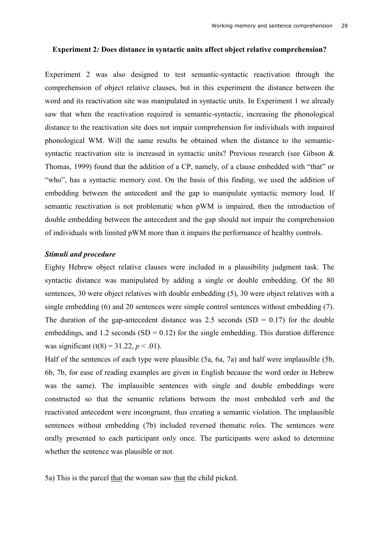#### **Experiment 2***:* **Does distance in syntactic units affect object relative comprehension?**

Experiment 2 was also designed to test semantic-syntactic reactivation through the comprehension of object relative clauses, but in this experiment the distance between the word and its reactivation site was manipulated in syntactic units. In Experiment 1 we already saw that when the reactivation required is semantic-syntactic, increasing the phonological distance to the reactivation site does not impair comprehension for individuals with impaired phonological WM. Will the same results be obtained when the distance to the semanticsyntactic reactivation site is increased in syntactic units? Previous research (see Gibson & Thomas, 1999) found that the addition of a CP, namely, of a clause embedded with "that" or "who", has a syntactic memory cost. On the basis of this finding, we used the addition of embedding between the antecedent and the gap to manipulate syntactic memory load. If semantic reactivation is not problematic when pWM is impaired, then the introduction of double embedding between the antecedent and the gap should not impair the comprehension of individuals with limited pWM more than it impairs the performance of healthy controls.

# *Stimuli and procedure*

Eighty Hebrew object relative clauses were included in a plausibility judgment task. The syntactic distance was manipulated by adding a single or double embedding. Of the 80 sentences, 30 were object relatives with double embedding (5), 30 were object relatives with a single embedding (6) and 20 sentences were simple control sentences without embedding (7). The duration of the gap-antecedent distance was 2.5 seconds  $(SD = 0.17)$  for the double embeddings, and 1.2 seconds  $(SD = 0.12)$  for the single embedding. This duration difference was significant (t(8) = 31.22,  $p < .01$ ).

Half of the sentences of each type were plausible (5a, 6a, 7a) and half were implausible (5b, 6b, 7b, for ease of reading examples are given in English because the word order in Hebrew was the same). The implausible sentences with single and double embeddings were constructed so that the semantic relations between the most embedded verb and the reactivated antecedent were incongruent, thus creating a semantic violation. The implausible sentences without embedding (7b) included reversed thematic roles. The sentences were orally presented to each participant only once. The participants were asked to determine whether the sentence was plausible or not.

5a) This is the parcel that the woman saw that the child picked.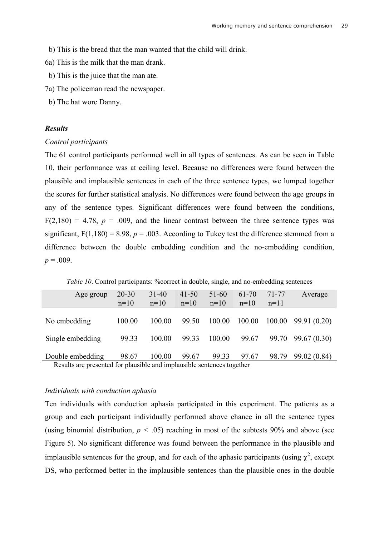- b) This is the bread that the man wanted that the child will drink.
- 6a) This is the milk that the man drank.
- b) This is the juice that the man ate.
- 7a) The policeman read the newspaper.
- b) The hat wore Danny.

# *Results*

### *Control participants*

The 61 control participants performed well in all types of sentences. As can be seen in Table 10, their performance was at ceiling level. Because no differences were found between the plausible and implausible sentences in each of the three sentence types, we lumped together the scores for further statistical analysis. No differences were found between the age groups in any of the sentence types. Significant differences were found between the conditions,  $F(2,180) = 4.78$ ,  $p = .009$ , and the linear contrast between the three sentence types was significant,  $F(1,180) = 8.98$ ,  $p = .003$ . According to Tukey test the difference stemmed from a difference between the double embedding condition and the no-embedding condition,  $p = .009$ .

| Age group                                | $20 - 30$ | $31 - 40$ | $41 - 50$ | $51 - 60$ | $61 - 70$ | 71-77  | Average            |
|------------------------------------------|-----------|-----------|-----------|-----------|-----------|--------|--------------------|
|                                          | $n=10$    | $n=10$    | $n=10$    | $n=10$    | $n=10$    | $n=11$ |                    |
|                                          |           |           |           |           |           |        |                    |
| No embedding                             | 100.00    | 100.00    | 99.50     | 100.00    | 100.00    | 100.00 | 99.91 (0.20)       |
|                                          |           |           |           |           |           |        |                    |
| Single embedding                         | 99.33     | 100.00    | 99.33     | 100.00    | 99.67     |        | 99.70 99.67 (0.30) |
|                                          |           |           |           |           |           |        |                    |
| Double embedding                         | 98.67     | 100.00    | 99.67     | 99.33     | 97.67     | 98.79  | 99.02 (0.84)       |
| $\sqrt{10}$<br>$\mathbf{D} = \mathbf{1}$ | 111       | $\cdots$  | $+1$ 1    |           |           |        |                    |

*Table 10*. Control participants: % correct in double, single, and no-embedding sentences

Results are presented for plausible and implausible sentences together

### *Individuals with conduction aphasia*

Ten individuals with conduction aphasia participated in this experiment. The patients as a group and each participant individually performed above chance in all the sentence types (using binomial distribution,  $p < .05$ ) reaching in most of the subtests 90% and above (see Figure 5). No significant difference was found between the performance in the plausible and implausible sentences for the group, and for each of the aphasic participants (using  $\chi^2$ , except DS, who performed better in the implausible sentences than the plausible ones in the double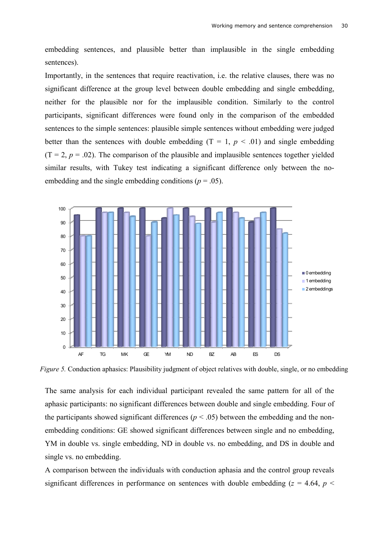embedding sentences, and plausible better than implausible in the single embedding sentences).

Importantly, in the sentences that require reactivation, i.e. the relative clauses, there was no significant difference at the group level between double embedding and single embedding, neither for the plausible nor for the implausible condition. Similarly to the control participants, significant differences were found only in the comparison of the embedded sentences to the simple sentences: plausible simple sentences without embedding were judged better than the sentences with double embedding  $(T = 1, p < .01)$  and single embedding  $(T = 2, p = .02)$ . The comparison of the plausible and implausible sentences together yielded similar results, with Tukey test indicating a significant difference only between the noembedding and the single embedding conditions ( $p = .05$ ).



*Figure 5.* Conduction aphasics: Plausibility judgment of object relatives with double, single, or no embedding

The same analysis for each individual participant revealed the same pattern for all of the aphasic participants: no significant differences between double and single embedding. Four of the participants showed significant differences ( $p < .05$ ) between the embedding and the nonembedding conditions: GE showed significant differences between single and no embedding, YM in double vs. single embedding, ND in double vs. no embedding, and DS in double and single vs. no embedding.

A comparison between the individuals with conduction aphasia and the control group reveals significant differences in performance on sentences with double embedding ( $z = 4.64$ ,  $p <$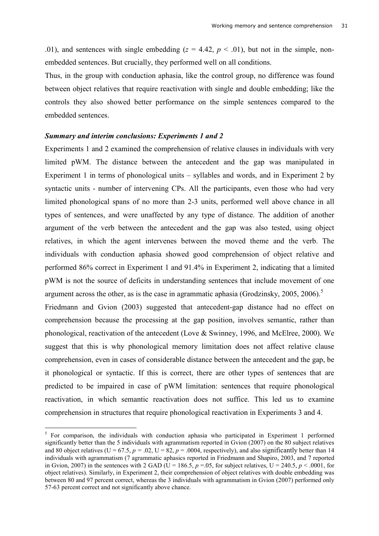.01), and sentences with single embedding  $(z = 4.42, p < .01)$ , but not in the simple, nonembedded sentences. But crucially, they performed well on all conditions.

Thus, in the group with conduction aphasia, like the control group, no difference was found between object relatives that require reactivation with single and double embedding; like the controls they also showed better performance on the simple sentences compared to the embedded sentences.

#### *Summary and interim conclusions: Experiments 1 and 2*

Experiments 1 and 2 examined the comprehension of relative clauses in individuals with very limited pWM. The distance between the antecedent and the gap was manipulated in Experiment 1 in terms of phonological units – syllables and words, and in Experiment 2 by syntactic units - number of intervening CPs. All the participants, even those who had very limited phonological spans of no more than 2-3 units, performed well above chance in all types of sentences, and were unaffected by any type of distance. The addition of another argument of the verb between the antecedent and the gap was also tested, using object relatives, in which the agent intervenes between the moved theme and the verb. The individuals with conduction aphasia showed good comprehension of object relative and performed 86% correct in Experiment 1 and 91.4% in Experiment 2, indicating that a limited pWM is not the source of deficits in understanding sentences that include movement of one argument across the other, as is the case in agrammatic aphasia (Grodzinsky, 2005, 2006).<sup>5</sup> Friedmann and Gvion (2003) suggested that antecedent-gap distance had no effect on

comprehension because the processing at the gap position, involves semantic, rather than phonological, reactivation of the antecedent (Love & Swinney, 1996, and McElree, 2000). We suggest that this is why phonological memory limitation does not affect relative clause comprehension, even in cases of considerable distance between the antecedent and the gap, be it phonological or syntactic. If this is correct, there are other types of sentences that are predicted to be impaired in case of pWM limitation: sentences that require phonological reactivation, in which semantic reactivation does not suffice. This led us to examine comprehension in structures that require phonological reactivation in Experiments 3 and 4.

<sup>&</sup>lt;sup>5</sup> For comparison, the individuals with conduction aphasia who participated in Experiment 1 performed significantly better than the 5 individuals with agrammatism reported in Gvion (2007) on the 80 subject relatives and 80 object relatives (U = 67.5,  $p = 0.02$ , U = 82,  $p = 0.004$ , respectively), and also significantly better than 14 individuals with agrammatism (7 agrammatic aphasics reported in Friedmann and Shapiro, 2003, and 7 reported in Gvion, 2007) in the sentences with 2 GAD ( $U = 186.5$ ,  $p = .05$ , for subject relatives,  $U = 240.5$ ,  $p < .0001$ , for object relatives). Similarly, in Experiment 2, their comprehension of object relatives with double embedding was between 80 and 97 percent correct, whereas the 3 individuals with agrammatism in Gvion (2007) performed only 57-63 percent correct and not significantly above chance.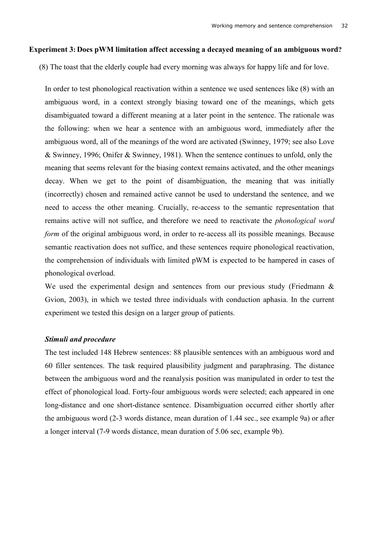### **Experiment 3: Does pWM limitation affect accessing a decayed meaning of an ambiguous word?**

(8) The toast that the elderly couple had every morning was always for happy life and for love.

In order to test phonological reactivation within a sentence we used sentences like (8) with an ambiguous word, in a context strongly biasing toward one of the meanings, which gets disambiguated toward a different meaning at a later point in the sentence. The rationale was the following: when we hear a sentence with an ambiguous word, immediately after the ambiguous word, all of the meanings of the word are activated (Swinney, 1979; see also Love & Swinney, 1996; Onifer & Swinney, 1981). When the sentence continues to unfold, only the meaning that seems relevant for the biasing context remains activated, and the other meanings decay. When we get to the point of disambiguation, the meaning that was initially (incorrectly) chosen and remained active cannot be used to understand the sentence, and we need to access the other meaning. Crucially, re-access to the semantic representation that remains active will not suffice, and therefore we need to reactivate the *phonological word form* of the original ambiguous word, in order to re-access all its possible meanings. Because semantic reactivation does not suffice, and these sentences require phonological reactivation, the comprehension of individuals with limited pWM is expected to be hampered in cases of phonological overload.

We used the experimental design and sentences from our previous study (Friedmann & Gvion, 2003), in which we tested three individuals with conduction aphasia. In the current experiment we tested this design on a larger group of patients.

### *Stimuli and procedure*

The test included 148 Hebrew sentences: 88 plausible sentences with an ambiguous word and 60 filler sentences. The task required plausibility judgment and paraphrasing. The distance between the ambiguous word and the reanalysis position was manipulated in order to test the effect of phonological load. Forty-four ambiguous words were selected; each appeared in one long-distance and one short-distance sentence. Disambiguation occurred either shortly after the ambiguous word (2-3 words distance, mean duration of 1.44 sec., see example 9a) or after a longer interval (7-9 words distance, mean duration of 5.06 sec, example 9b).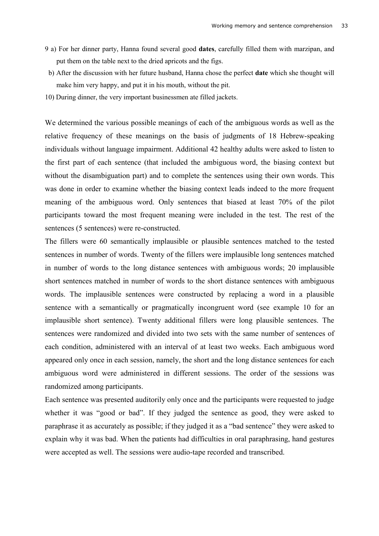- 9 a) For her dinner party, Hanna found several good **dates**, carefully filled them with marzipan, and put them on the table next to the dried apricots and the figs.
- b) After the discussion with her future husband, Hanna chose the perfect **date** which she thought will make him very happy, and put it in his mouth, without the pit.
- 10) During dinner, the very important businessmen ate filled jackets.

We determined the various possible meanings of each of the ambiguous words as well as the relative frequency of these meanings on the basis of judgments of 18 Hebrew-speaking individuals without language impairment. Additional 42 healthy adults were asked to listen to the first part of each sentence (that included the ambiguous word, the biasing context but without the disambiguation part) and to complete the sentences using their own words. This was done in order to examine whether the biasing context leads indeed to the more frequent meaning of the ambiguous word. Only sentences that biased at least 70% of the pilot participants toward the most frequent meaning were included in the test. The rest of the sentences (5 sentences) were re-constructed.

The fillers were 60 semantically implausible or plausible sentences matched to the tested sentences in number of words. Twenty of the fillers were implausible long sentences matched in number of words to the long distance sentences with ambiguous words; 20 implausible short sentences matched in number of words to the short distance sentences with ambiguous words. The implausible sentences were constructed by replacing a word in a plausible sentence with a semantically or pragmatically incongruent word (see example 10 for an implausible short sentence). Twenty additional fillers were long plausible sentences. The sentences were randomized and divided into two sets with the same number of sentences of each condition, administered with an interval of at least two weeks. Each ambiguous word appeared only once in each session, namely, the short and the long distance sentences for each ambiguous word were administered in different sessions. The order of the sessions was randomized among participants.

Each sentence was presented auditorily only once and the participants were requested to judge whether it was "good or bad". If they judged the sentence as good, they were asked to paraphrase it as accurately as possible; if they judged it as a "bad sentence" they were asked to explain why it was bad. When the patients had difficulties in oral paraphrasing, hand gestures were accepted as well. The sessions were audio-tape recorded and transcribed.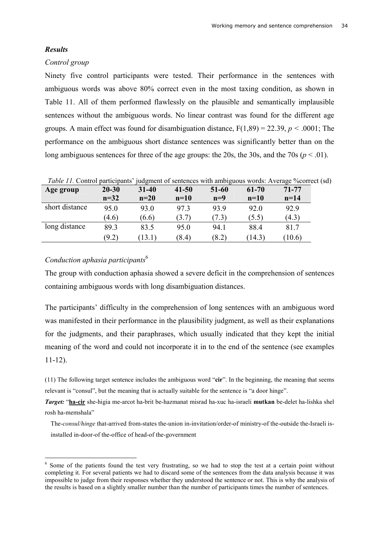### *Results*

#### *Control group*

Ninety five control participants were tested. Their performance in the sentences with ambiguous words was above 80% correct even in the most taxing condition, as shown in Table 11. All of them performed flawlessly on the plausible and semantically implausible sentences without the ambiguous words. No linear contrast was found for the different age groups. A main effect was found for disambiguation distance,  $F(1,89) = 22.39$ ,  $p < .0001$ ; The performance on the ambiguous short distance sentences was significantly better than on the long ambiguous sentences for three of the age groups: the 20s, the 30s, and the 70s ( $p < .01$ ).

| Age group      | $20 - 30$ | $31 - 40$ | $41 - 50$ | 51-60 | 61-70  | 71-77  |
|----------------|-----------|-----------|-----------|-------|--------|--------|
|                | $n=32$    | $n=20$    | $n=10$    | $n=9$ | $n=10$ | $n=14$ |
| short distance | 95.0      | 93.0      | 97.3      | 93.9  | 92.0   | 92.9   |
|                | (4.6)     | (6.6)     | (3.7)     | (7.3) | (5.5)  | (4.3)  |
| long distance  | 89.3      | 83.5      | 95.0      | 94.1  | 88.4   | 81.7   |
|                | (9.2)     | 13.1)     | (8.4)     | (8.2) | 14.3)  | (10.6) |

| Table 11. Control participants' judgment of sentences with ambiguous words: Average % correct (sd) |  |  |
|----------------------------------------------------------------------------------------------------|--|--|
|                                                                                                    |  |  |

# *Conduction aphasia participants*<sup>6</sup>

The group with conduction aphasia showed a severe deficit in the comprehension of sentences containing ambiguous words with long disambiguation distances.

The participants' difficulty in the comprehension of long sentences with an ambiguous word was manifested in their performance in the plausibility judgment, as well as their explanations for the judgments, and their paraphrases, which usually indicated that they kept the initial meaning of the word and could not incorporate it in to the end of the sentence (see examples 11-12).

(11) The following target sentence includes the ambiguous word "**cir**". In the beginning, the meaning that seems relevant is "consul", but the meaning that is actually suitable for the sentence is "a door hinge".

*Target:* "**ha-cir** she-higia me-arcot ha-brit be-hazmanat misrad ha-xuc ha-israeli **mutkan** be-delet ha-lishka shel rosh ha-memshala"

The-*consul/hinge* that-arrived from-states the-union in-invitation/order-of ministry-of the-outside the-Israeli isinstalled in-door-of the-office of head-of the-government

<sup>&</sup>lt;sup>6</sup> Some of the patients found the test very frustrating, so we had to stop the test at a certain point without completing it. For several patients we had to discard some of the sentences from the data analysis because it was impossible to judge from their responses whether they understood the sentence or not. This is why the analysis of the results is based on a slightly smaller number than the number of participants times the number of sentences.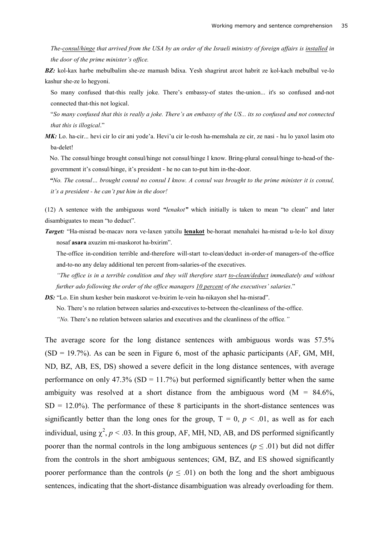*The-consul/hinge that arrived from the USA by an order of the Israeli ministry of foreign affairs is installed in the door of the prime minister's office.* 

*BZ:* kol-kax harbe mebulbalim she-ze mamash bdixa. Yesh shagrirut arcot habrit ze kol-kach mebulbal ve-lo kashur she-ze lo hegyoni.

So many confused that-this really joke. There's embassy-of states the-union... it's so confused and-not connected that-this not logical.

"*So many confused that this is really a joke. There's an embassy of the US... its so confused and not connected that this is illogical*."

*MK*: Lo. ha-cir... hevi cir lo cir ani yode'a. Hevi'u cir le-rosh ha-memshala ze cir, ze nasi - hu lo yaxol lasim oto ba-delet!

No. The consul/hinge brought consul/hinge not consul/hinge I know. Bring-plural consul/hinge to-head-of thegovernment it's consul/hinge, it's president - he no can to-put him in-the-door.

*"No. The consul… brought consul no consul I know. A consul was brought to the prime minister it is consul, it's a president - he can't put him in the door!*

(12) A sentence with the ambiguous word *"lenakot"* which initially is taken to mean "to clean" and later disambiguates to mean "to deduct".

*Target:* "Ha-misrad be-macav nora ve-laxen yatxilu **lenakot** be-horaat menahalei ha-misrad u-le-lo kol dixuy nosaf **asara** axuzim mi-maskorot ha-bxirim".

The-office in-condition terrible and-therefore will-start to-clean/deduct in-order-of managers-of the-office and-to-no any delay additional ten percent from-salaries-of the executives.

*"The office is in a terrible condition and they will therefore start to-clean/deduct immediately and without further ado following the order of the office managers 10 percent of the executives' salaries*."

*DS:* "Lo. Ein shum kesher bein maskorot ve-bxirim le-vein ha-nikayon shel ha-misrad".

No. There's no relation between salaries and-executives to-between the-cleanliness of the-office.

*"No.* There's no relation between salaries and executives and the cleanliness of the office*."* 

The average score for the long distance sentences with ambiguous words was 57.5%  $(SD = 19.7\%)$ . As can be seen in Figure 6, most of the aphasic participants  $(AF, GM, MH,$ ND, BZ, AB, ES, DS) showed a severe deficit in the long distance sentences, with average performance on only 47.3% (SD = 11.7%) but performed significantly better when the same ambiguity was resolved at a short distance from the ambiguous word  $(M = 84.6\%,$  $SD = 12.0\%$ ). The performance of these 8 participants in the short-distance sentences was significantly better than the long ones for the group,  $T = 0$ ,  $p < .01$ , as well as for each individual, using  $\chi^2$ ,  $p < .03$ . In this group, AF, MH, ND, AB, and DS performed significantly poorer than the normal controls in the long ambiguous sentences ( $p \leq .01$ ) but did not differ from the controls in the short ambiguous sentences; GM, BZ, and ES showed significantly poorer performance than the controls ( $p \leq .01$ ) on both the long and the short ambiguous sentences, indicating that the short-distance disambiguation was already overloading for them.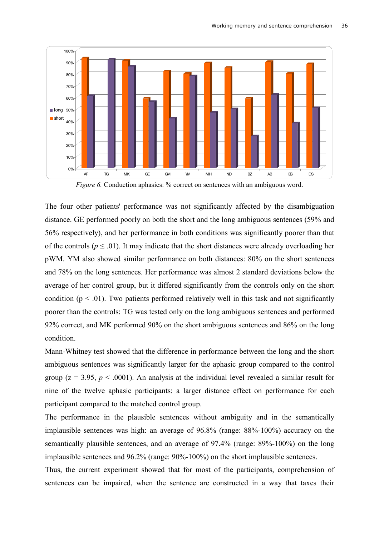

*Figure 6.* Conduction aphasics: % correct on sentences with an ambiguous word.

The four other patients' performance was not significantly affected by the disambiguation distance. GE performed poorly on both the short and the long ambiguous sentences (59% and 56% respectively), and her performance in both conditions was significantly poorer than that of the controls ( $p \leq 0.01$ ). It may indicate that the short distances were already overloading her pWM. YM also showed similar performance on both distances: 80% on the short sentences and 78% on the long sentences. Her performance was almost 2 standard deviations below the average of her control group, but it differed significantly from the controls only on the short condition ( $p \le 0.01$ ). Two patients performed relatively well in this task and not significantly poorer than the controls: TG was tested only on the long ambiguous sentences and performed 92% correct, and MK performed 90% on the short ambiguous sentences and 86% on the long condition.

Mann-Whitney test showed that the difference in performance between the long and the short ambiguous sentences was significantly larger for the aphasic group compared to the control group ( $z = 3.95$ ,  $p < .0001$ ). An analysis at the individual level revealed a similar result for nine of the twelve aphasic participants: a larger distance effect on performance for each participant compared to the matched control group.

The performance in the plausible sentences without ambiguity and in the semantically implausible sentences was high: an average of 96.8% (range: 88%-100%) accuracy on the semantically plausible sentences, and an average of 97.4% (range: 89%-100%) on the long implausible sentences and 96.2% (range: 90%-100%) on the short implausible sentences.

Thus, the current experiment showed that for most of the participants, comprehension of sentences can be impaired, when the sentence are constructed in a way that taxes their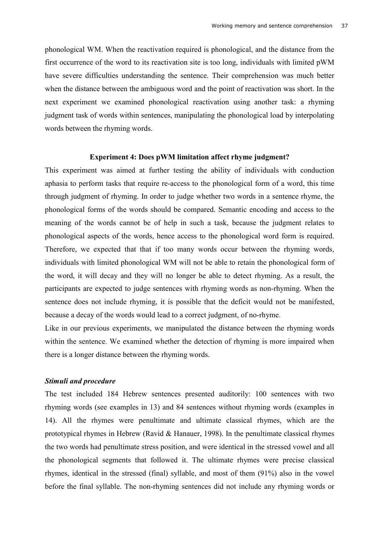phonological WM. When the reactivation required is phonological, and the distance from the first occurrence of the word to its reactivation site is too long, individuals with limited pWM have severe difficulties understanding the sentence. Their comprehension was much better when the distance between the ambiguous word and the point of reactivation was short. In the next experiment we examined phonological reactivation using another task: a rhyming judgment task of words within sentences, manipulating the phonological load by interpolating words between the rhyming words.

### **Experiment 4: Does pWM limitation affect rhyme judgment?**

This experiment was aimed at further testing the ability of individuals with conduction aphasia to perform tasks that require re-access to the phonological form of a word, this time through judgment of rhyming. In order to judge whether two words in a sentence rhyme, the phonological forms of the words should be compared. Semantic encoding and access to the meaning of the words cannot be of help in such a task, because the judgment relates to phonological aspects of the words, hence access to the phonological word form is required. Therefore, we expected that that if too many words occur between the rhyming words, individuals with limited phonological WM will not be able to retain the phonological form of the word, it will decay and they will no longer be able to detect rhyming. As a result, the participants are expected to judge sentences with rhyming words as non-rhyming. When the sentence does not include rhyming, it is possible that the deficit would not be manifested, because a decay of the words would lead to a correct judgment, of no-rhyme.

Like in our previous experiments, we manipulated the distance between the rhyming words within the sentence. We examined whether the detection of rhyming is more impaired when there is a longer distance between the rhyming words.

### *Stimuli and procedure*

The test included 184 Hebrew sentences presented auditorily: 100 sentences with two rhyming words (see examples in 13) and 84 sentences without rhyming words (examples in 14). All the rhymes were penultimate and ultimate classical rhymes, which are the prototypical rhymes in Hebrew (Ravid & Hanauer, 1998). In the penultimate classical rhymes the two words had penultimate stress position, and were identical in the stressed vowel and all the phonological segments that followed it. The ultimate rhymes were precise classical rhymes, identical in the stressed (final) syllable, and most of them (91%) also in the vowel before the final syllable. The non-rhyming sentences did not include any rhyming words or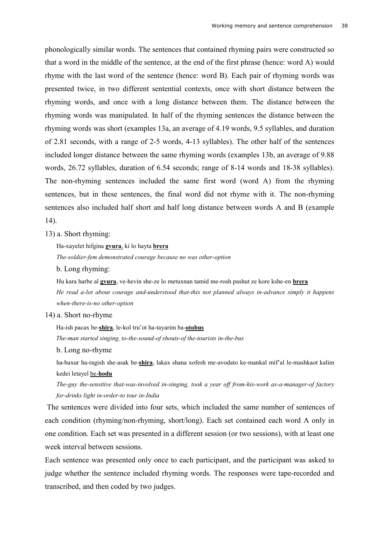phonologically similar words. The sentences that contained rhyming pairs were constructed so that a word in the middle of the sentence, at the end of the first phrase (hence: word A) would rhyme with the last word of the sentence (hence: word B). Each pair of rhyming words was presented twice, in two different sentential contexts, once with short distance between the rhyming words, and once with a long distance between them. The distance between the rhyming words was manipulated. In half of the rhyming sentences the distance between the rhyming words was short (examples 13a, an average of 4.19 words, 9.5 syllables, and duration of 2.81 seconds, with a range of 2-5 words, 4-13 syllables). The other half of the sentences included longer distance between the same rhyming words (examples 13b, an average of 9.88 words, 26.72 syllables, duration of 6.54 seconds; range of 8-14 words and 18-38 syllables). The non-rhyming sentences included the same first word (word A) from the rhyming sentences, but in these sentences, the final word did not rhyme with it. The non-rhyming sentences also included half short and half long distance between words A and B (example 14).

### 13) a. Short rhyming:

Ha-xayelet hifgina **gvura**, ki lo hayta **brera**

*The-soldier-fem demonstrated courage because no was other-option* 

b. Long rhyming:

Hu kara harbe al **gvura**, ve-hevin she-ze lo metuxnan tamid me-rosh pashut ze kore kshe-en **brera** *He read a-lot about courage and-understood that-this not planned always in-advance simply it happens when-there-is-no other-option* 

### 14) a. Short no-rhyme

Ha-ish pacax be-**shira**, le-kol tru'ot ha-tayarim ba-**otobus**

*The-man started singing, to-the-sound-of shouts-of the-tourists in-the-bus* 

### b. Long no-rhyme

ha-baxur ha-ragish she-asak be-**shira**, lakax shana xofesh me-avodato ke-mankal mif'al le-mashkaot kalim kedei letayel be-**hodu**

*The-guy the-sensitive that-was-involved in-singing, took a year off from-his-work as-a-manager-of factory for-drinks light in-order-to tour in-India* 

 The sentences were divided into four sets, which included the same number of sentences of each condition (rhyming/non-rhyming, short/long). Each set contained each word A only in one condition. Each set was presented in a different session (or two sessions), with at least one week interval between sessions.

Each sentence was presented only once to each participant, and the participant was asked to judge whether the sentence included rhyming words. The responses were tape-recorded and transcribed, and then coded by two judges.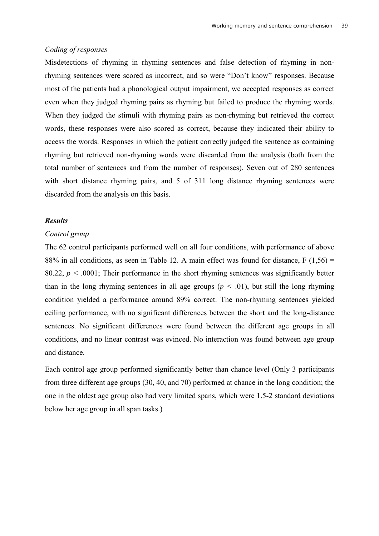### *Coding of responses*

Misdetections of rhyming in rhyming sentences and false detection of rhyming in nonrhyming sentences were scored as incorrect, and so were "Don't know" responses. Because most of the patients had a phonological output impairment, we accepted responses as correct even when they judged rhyming pairs as rhyming but failed to produce the rhyming words. When they judged the stimuli with rhyming pairs as non-rhyming but retrieved the correct words, these responses were also scored as correct, because they indicated their ability to access the words. Responses in which the patient correctly judged the sentence as containing rhyming but retrieved non-rhyming words were discarded from the analysis (both from the total number of sentences and from the number of responses). Seven out of 280 sentences with short distance rhyming pairs, and 5 of 311 long distance rhyming sentences were discarded from the analysis on this basis.

# *Results*

### *Control group*

The 62 control participants performed well on all four conditions, with performance of above 88% in all conditions, as seen in Table 12. A main effect was found for distance,  $F(1,56) =$ 80.22,  $p < .0001$ ; Their performance in the short rhyming sentences was significantly better than in the long rhyming sentences in all age groups ( $p < .01$ ), but still the long rhyming condition yielded a performance around 89% correct. The non-rhyming sentences yielded ceiling performance, with no significant differences between the short and the long-distance sentences. No significant differences were found between the different age groups in all conditions, and no linear contrast was evinced. No interaction was found between age group and distance.

Each control age group performed significantly better than chance level (Only 3 participants from three different age groups (30, 40, and 70) performed at chance in the long condition; the one in the oldest age group also had very limited spans, which were 1.5-2 standard deviations below her age group in all span tasks.)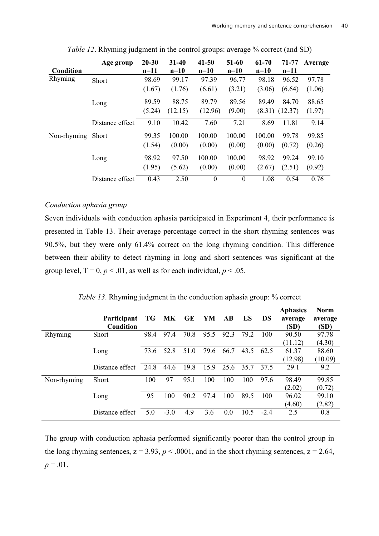|             | Age group       | $20 - 30$ | $31 - 40$ | $41 - 50$        | 51-60            | 61-70  | 71-77   | Average |
|-------------|-----------------|-----------|-----------|------------------|------------------|--------|---------|---------|
| Condition   |                 | $n=11$    | $n=10$    | $n=10$           | $n=10$           | $n=10$ | $n=11$  |         |
| Rhyming     | Short           | 98.69     | 99.17     | 97.39            | 96.77            | 98.18  | 96.52   | 97.78   |
|             |                 | (1.67)    | (1.76)    | (6.61)           | (3.21)           | (3.06) | (6.64)  | (1.06)  |
|             | Long            | 89.59     | 88.75     | 89.79            | 89.56            | 89.49  | 84.70   | 88.65   |
|             |                 | (5.24)    | (12.15)   | (12.96)          | (9.00)           | (8.31) | (12.37) | (1.97)  |
|             | Distance effect | 9.10      | 10.42     | 7.60             | 7.21             | 8.69   | 11.81   | 9.14    |
| Non-rhyming | <b>Short</b>    | 99.35     | 100.00    | 100.00           | 100.00           | 100.00 | 99.78   | 99.85   |
|             |                 | (1.54)    | (0.00)    | (0.00)           | (0.00)           | (0.00) | (0.72)  | (0.26)  |
|             | Long            | 98.92     | 97.50     | 100.00           | 100.00           | 98.92  | 99.24   | 99.10   |
|             |                 | (1.95)    | (5.62)    | (0.00)           | (0.00)           | (2.67) | (2.51)  | (0.92)  |
|             | Distance effect | 0.43      | 2.50      | $\boldsymbol{0}$ | $\boldsymbol{0}$ | 1.08   | 0.54    | 0.76    |

*Table 12*. Rhyming judgment in the control groups: average % correct (and SD)

# *Conduction aphasia group*

Seven individuals with conduction aphasia participated in Experiment 4, their performance is presented in Table 13. Their average percentage correct in the short rhyming sentences was 90.5%, but they were only 61.4% correct on the long rhyming condition. This difference between their ability to detect rhyming in long and short sentences was significant at the group level,  $T = 0$ ,  $p < 0.01$ , as well as for each individual,  $p < 0.05$ .

|  |  |  | <i>Table 13.</i> Rhyming judgment in the conduction aphasia group: % correct |
|--|--|--|------------------------------------------------------------------------------|
|  |  |  |                                                                              |

|             |                    |      |        |      |      |      |      |        | <b>Aphasics</b> | <b>Norm</b> |
|-------------|--------------------|------|--------|------|------|------|------|--------|-----------------|-------------|
|             | <b>Participant</b> |      | TG MK  | GE   | YM   | AB   | ES   | DS     | average         | average     |
|             | Condition          |      |        |      |      |      |      |        | (SD)            | (SD)        |
| Rhyming     | <b>Short</b>       | 98.4 | 97.4   | 70.8 | 95.5 | 92.3 | 79.2 | 100    | 90.50           | 97.78       |
|             |                    |      |        |      |      |      |      |        | (11.12)         | (4.30)      |
|             | Long               | 73.6 | 52.8   | 51.0 | 79.6 | 66.7 | 43.5 | 62.5   | 61.37           | 88.60       |
|             |                    |      |        |      |      |      |      |        | (12.98)         | (10.09)     |
|             | Distance effect    | 24.8 | 44.6   | 19.8 | 15.9 | 25.6 | 35.7 | 37.5   | 29.1            | 9.2         |
| Non-rhyming | <b>Short</b>       | 100  | 97     | 95.1 | 100  | 100  | 100  | 97.6   | 98.49           | 99.85       |
|             |                    |      |        |      |      |      |      |        | (2.02)          | (0.72)      |
|             | Long               | 95   | 100    | 90.2 | 974  | 100  | 89.5 | 100    | 96.02           | 99.10       |
|             |                    |      |        |      |      |      |      |        | (4.60)          | (2.82)      |
|             | Distance effect    | 5.0  | $-3.0$ | 4.9  | 3.6  | 0.0  | 10.5 | $-2.4$ | 2.5             | 0.8         |

The group with conduction aphasia performed significantly poorer than the control group in the long rhyming sentences,  $z = 3.93$ ,  $p < .0001$ , and in the short rhyming sentences,  $z = 2.64$ ,  $p = .01$ .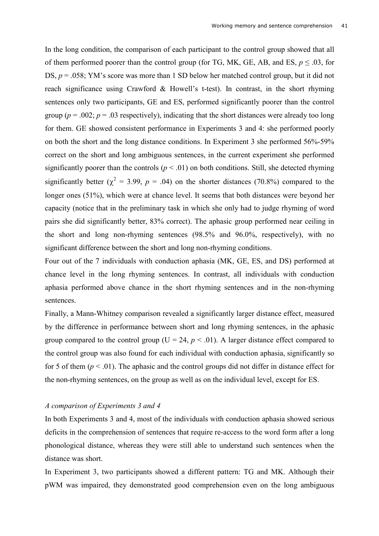In the long condition, the comparison of each participant to the control group showed that all of them performed poorer than the control group (for TG, MK, GE, AB, and ES,  $p \le 0.03$ , for DS,  $p = 0.058$ ; YM's score was more than 1 SD below her matched control group, but it did not reach significance using Crawford & Howell's t-test). In contrast, in the short rhyming sentences only two participants, GE and ES, performed significantly poorer than the control group ( $p = .002$ ;  $p = .03$  respectively), indicating that the short distances were already too long for them. GE showed consistent performance in Experiments 3 and 4: she performed poorly on both the short and the long distance conditions. In Experiment 3 she performed 56%-59% correct on the short and long ambiguous sentences, in the current experiment she performed significantly poorer than the controls  $(p < .01)$  on both conditions. Still, she detected rhyming significantly better ( $\chi^2 = 3.99$ ,  $p = .04$ ) on the shorter distances (70.8%) compared to the longer ones (51%), which were at chance level. It seems that both distances were beyond her capacity (notice that in the preliminary task in which she only had to judge rhyming of word pairs she did significantly better, 83% correct). The aphasic group performed near ceiling in the short and long non-rhyming sentences (98.5% and 96.0%, respectively), with no significant difference between the short and long non-rhyming conditions.

Four out of the 7 individuals with conduction aphasia (MK, GE, ES, and DS) performed at chance level in the long rhyming sentences. In contrast, all individuals with conduction aphasia performed above chance in the short rhyming sentences and in the non-rhyming sentences.

Finally, a Mann-Whitney comparison revealed a significantly larger distance effect, measured by the difference in performance between short and long rhyming sentences, in the aphasic group compared to the control group ( $U = 24$ ,  $p < .01$ ). A larger distance effect compared to the control group was also found for each individual with conduction aphasia, significantly so for 5 of them  $(p < .01)$ . The aphasic and the control groups did not differ in distance effect for the non-rhyming sentences, on the group as well as on the individual level, except for ES.

### *A comparison of Experiments 3 and 4*

In both Experiments 3 and 4, most of the individuals with conduction aphasia showed serious deficits in the comprehension of sentences that require re-access to the word form after a long phonological distance, whereas they were still able to understand such sentences when the distance was short.

In Experiment 3, two participants showed a different pattern: TG and MK. Although their pWM was impaired, they demonstrated good comprehension even on the long ambiguous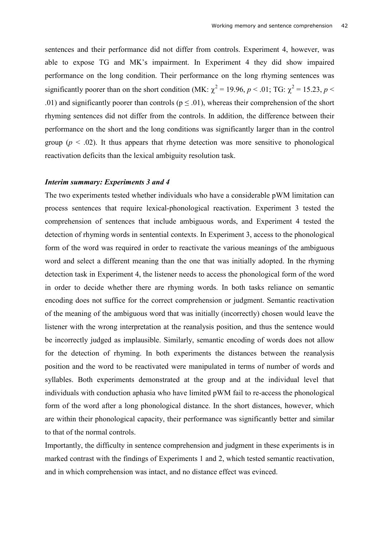sentences and their performance did not differ from controls. Experiment 4, however, was able to expose TG and MK's impairment. In Experiment 4 they did show impaired performance on the long condition. Their performance on the long rhyming sentences was significantly poorer than on the short condition (MK:  $\chi^2$  = 19.96, *p* < .01; TG:  $\chi^2$  = 15.23, *p* < .01) and significantly poorer than controls ( $p \le 0.01$ ), whereas their comprehension of the short rhyming sentences did not differ from the controls. In addition, the difference between their performance on the short and the long conditions was significantly larger than in the control group ( $p < .02$ ). It thus appears that rhyme detection was more sensitive to phonological reactivation deficits than the lexical ambiguity resolution task.

### *Interim summary: Experiments 3 and 4*

The two experiments tested whether individuals who have a considerable pWM limitation can process sentences that require lexical-phonological reactivation. Experiment 3 tested the comprehension of sentences that include ambiguous words, and Experiment 4 tested the detection of rhyming words in sentential contexts. In Experiment 3, access to the phonological form of the word was required in order to reactivate the various meanings of the ambiguous word and select a different meaning than the one that was initially adopted. In the rhyming detection task in Experiment 4, the listener needs to access the phonological form of the word in order to decide whether there are rhyming words. In both tasks reliance on semantic encoding does not suffice for the correct comprehension or judgment. Semantic reactivation of the meaning of the ambiguous word that was initially (incorrectly) chosen would leave the listener with the wrong interpretation at the reanalysis position, and thus the sentence would be incorrectly judged as implausible. Similarly, semantic encoding of words does not allow for the detection of rhyming. In both experiments the distances between the reanalysis position and the word to be reactivated were manipulated in terms of number of words and syllables. Both experiments demonstrated at the group and at the individual level that individuals with conduction aphasia who have limited pWM fail to re-access the phonological form of the word after a long phonological distance. In the short distances, however, which are within their phonological capacity, their performance was significantly better and similar to that of the normal controls.

Importantly, the difficulty in sentence comprehension and judgment in these experiments is in marked contrast with the findings of Experiments 1 and 2, which tested semantic reactivation, and in which comprehension was intact, and no distance effect was evinced.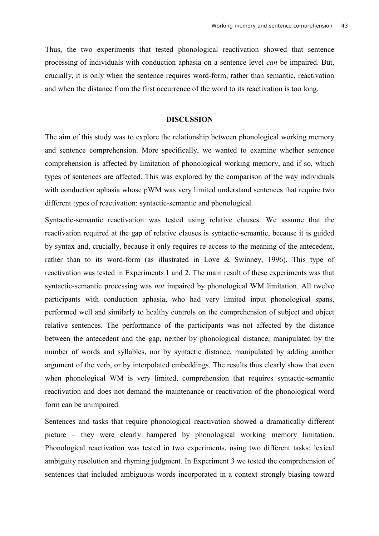Thus, the two experiments that tested phonological reactivation showed that sentence processing of individuals with conduction aphasia on a sentence level *can* be impaired. But, crucially, it is only when the sentence requires word-form, rather than semantic, reactivation and when the distance from the first occurrence of the word to its reactivation is too long.

#### **DISCUSSION**

The aim of this study was to explore the relationship between phonological working memory and sentence comprehension. More specifically, we wanted to examine whether sentence comprehension is affected by limitation of phonological working memory, and if so, which types of sentences are affected. This was explored by the comparison of the way individuals with conduction aphasia whose pWM was very limited understand sentences that require two different types of reactivation: syntactic-semantic and phonological.

Syntactic-semantic reactivation was tested using relative clauses. We assume that the reactivation required at the gap of relative clauses is syntactic-semantic, because it is guided by syntax and, crucially, because it only requires re-access to the meaning of the antecedent, rather than to its word-form (as illustrated in Love & Swinney, 1996). This type of reactivation was tested in Experiments 1 and 2. The main result of these experiments was that syntactic-semantic processing was *not* impaired by phonological WM limitation. All twelve participants with conduction aphasia, who had very limited input phonological spans, performed well and similarly to healthy controls on the comprehension of subject and object relative sentences. The performance of the participants was not affected by the distance between the antecedent and the gap, neither by phonological distance, manipulated by the number of words and syllables, nor by syntactic distance, manipulated by adding another argument of the verb, or by interpolated embeddings. The results thus clearly show that even when phonological WM is very limited, comprehension that requires syntactic-semantic reactivation and does not demand the maintenance or reactivation of the phonological word form can be unimpaired.

Sentences and tasks that require phonological reactivation showed a dramatically different picture – they were clearly hampered by phonological working memory limitation. Phonological reactivation was tested in two experiments, using two different tasks: lexical ambiguity resolution and rhyming judgment. In Experiment 3 we tested the comprehension of sentences that included ambiguous words incorporated in a context strongly biasing toward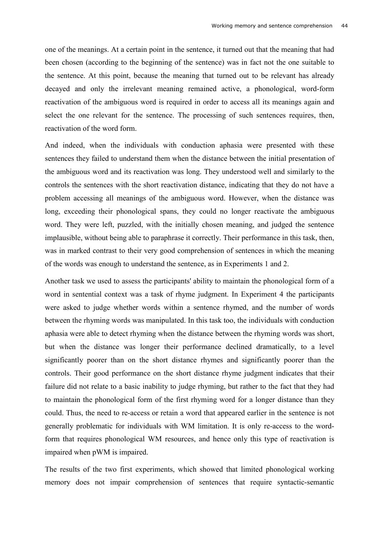one of the meanings. At a certain point in the sentence, it turned out that the meaning that had been chosen (according to the beginning of the sentence) was in fact not the one suitable to the sentence. At this point, because the meaning that turned out to be relevant has already decayed and only the irrelevant meaning remained active, a phonological, word-form reactivation of the ambiguous word is required in order to access all its meanings again and select the one relevant for the sentence. The processing of such sentences requires, then, reactivation of the word form.

And indeed, when the individuals with conduction aphasia were presented with these sentences they failed to understand them when the distance between the initial presentation of the ambiguous word and its reactivation was long. They understood well and similarly to the controls the sentences with the short reactivation distance, indicating that they do not have a problem accessing all meanings of the ambiguous word. However, when the distance was long, exceeding their phonological spans, they could no longer reactivate the ambiguous word. They were left, puzzled, with the initially chosen meaning, and judged the sentence implausible, without being able to paraphrase it correctly. Their performance in this task, then, was in marked contrast to their very good comprehension of sentences in which the meaning of the words was enough to understand the sentence, as in Experiments 1 and 2.

Another task we used to assess the participants' ability to maintain the phonological form of a word in sentential context was a task of rhyme judgment. In Experiment 4 the participants were asked to judge whether words within a sentence rhymed, and the number of words between the rhyming words was manipulated. In this task too, the individuals with conduction aphasia were able to detect rhyming when the distance between the rhyming words was short, but when the distance was longer their performance declined dramatically, to a level significantly poorer than on the short distance rhymes and significantly poorer than the controls. Their good performance on the short distance rhyme judgment indicates that their failure did not relate to a basic inability to judge rhyming, but rather to the fact that they had to maintain the phonological form of the first rhyming word for a longer distance than they could. Thus, the need to re-access or retain a word that appeared earlier in the sentence is not generally problematic for individuals with WM limitation. It is only re-access to the wordform that requires phonological WM resources, and hence only this type of reactivation is impaired when pWM is impaired.

The results of the two first experiments, which showed that limited phonological working memory does not impair comprehension of sentences that require syntactic-semantic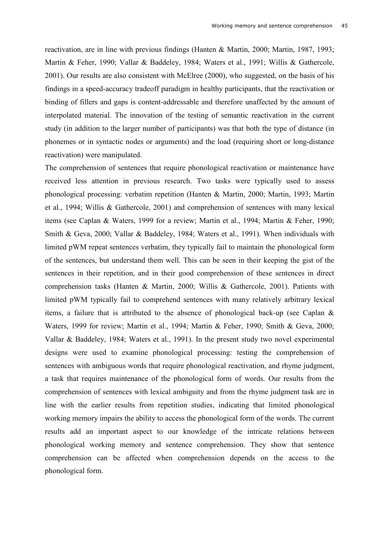reactivation, are in line with previous findings (Hanten & Martin, 2000; Martin, 1987, 1993; Martin & Feher, 1990; Vallar & Baddeley, 1984; Waters et al., 1991; Willis & Gathercole, 2001). Our results are also consistent with McElree (2000), who suggested, on the basis of his findings in a speed-accuracy tradeoff paradigm in healthy participants, that the reactivation or binding of fillers and gaps is content-addressable and therefore unaffected by the amount of interpolated material. The innovation of the testing of semantic reactivation in the current study (in addition to the larger number of participants) was that both the type of distance (in phonemes or in syntactic nodes or arguments) and the load (requiring short or long-distance reactivation) were manipulated.

The comprehension of sentences that require phonological reactivation or maintenance have received less attention in previous research. Two tasks were typically used to assess phonological processing: verbatim repetition (Hanten & Martin, 2000; Martin, 1993; Martin et al., 1994; Willis & Gathercole, 2001) and comprehension of sentences with many lexical items (see Caplan & Waters, 1999 for a review; Martin et al., 1994; Martin & Feher, 1990; Smith & Geva, 2000; Vallar & Baddeley, 1984; Waters et al., 1991). When individuals with limited pWM repeat sentences verbatim, they typically fail to maintain the phonological form of the sentences, but understand them well. This can be seen in their keeping the gist of the sentences in their repetition, and in their good comprehension of these sentences in direct comprehension tasks (Hanten & Martin, 2000; Willis & Gathercole, 2001). Patients with limited pWM typically fail to comprehend sentences with many relatively arbitrary lexical items, a failure that is attributed to the absence of phonological back-up (see Caplan  $\&$ Waters, 1999 for review; Martin et al., 1994; Martin & Feher, 1990; Smith & Geva, 2000; Vallar & Baddeley, 1984; Waters et al., 1991). In the present study two novel experimental designs were used to examine phonological processing: testing the comprehension of sentences with ambiguous words that require phonological reactivation, and rhyme judgment, a task that requires maintenance of the phonological form of words. Our results from the comprehension of sentences with lexical ambiguity and from the rhyme judgment task are in line with the earlier results from repetition studies, indicating that limited phonological working memory impairs the ability to access the phonological form of the words. The current results add an important aspect to our knowledge of the intricate relations between phonological working memory and sentence comprehension. They show that sentence comprehension can be affected when comprehension depends on the access to the phonological form.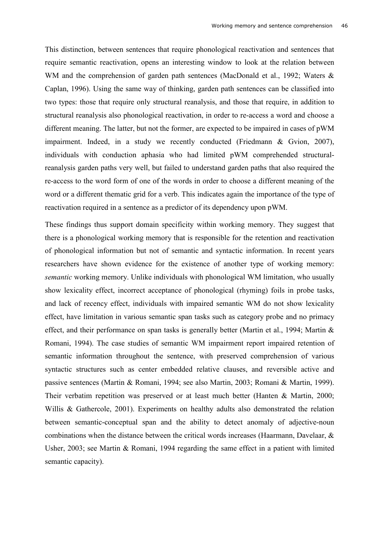This distinction, between sentences that require phonological reactivation and sentences that require semantic reactivation, opens an interesting window to look at the relation between WM and the comprehension of garden path sentences (MacDonald et al., 1992; Waters & Caplan, 1996). Using the same way of thinking, garden path sentences can be classified into two types: those that require only structural reanalysis, and those that require, in addition to structural reanalysis also phonological reactivation, in order to re-access a word and choose a different meaning. The latter, but not the former, are expected to be impaired in cases of pWM impairment. Indeed, in a study we recently conducted (Friedmann & Gvion, 2007), individuals with conduction aphasia who had limited pWM comprehended structuralreanalysis garden paths very well, but failed to understand garden paths that also required the re-access to the word form of one of the words in order to choose a different meaning of the word or a different thematic grid for a verb. This indicates again the importance of the type of reactivation required in a sentence as a predictor of its dependency upon pWM.

These findings thus support domain specificity within working memory. They suggest that there is a phonological working memory that is responsible for the retention and reactivation of phonological information but not of semantic and syntactic information. In recent years researchers have shown evidence for the existence of another type of working memory: *semantic* working memory. Unlike individuals with phonological WM limitation, who usually show lexicality effect, incorrect acceptance of phonological (rhyming) foils in probe tasks, and lack of recency effect, individuals with impaired semantic WM do not show lexicality effect, have limitation in various semantic span tasks such as category probe and no primacy effect, and their performance on span tasks is generally better (Martin et al., 1994; Martin & Romani, 1994). The case studies of semantic WM impairment report impaired retention of semantic information throughout the sentence, with preserved comprehension of various syntactic structures such as center embedded relative clauses, and reversible active and passive sentences (Martin & Romani, 1994; see also Martin, 2003; Romani & Martin, 1999). Their verbatim repetition was preserved or at least much better (Hanten & Martin, 2000; Willis & Gathercole, 2001). Experiments on healthy adults also demonstrated the relation between semantic-conceptual span and the ability to detect anomaly of adjective-noun combinations when the distance between the critical words increases (Haarmann, Davelaar, & Usher, 2003; see Martin & Romani, 1994 regarding the same effect in a patient with limited semantic capacity).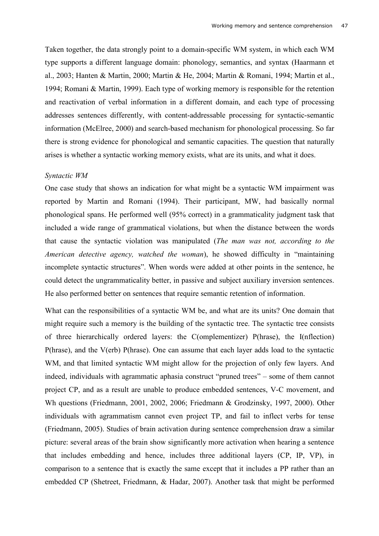Taken together, the data strongly point to a domain-specific WM system, in which each WM type supports a different language domain: phonology, semantics, and syntax (Haarmann et al., 2003; Hanten & Martin, 2000; Martin & He, 2004; Martin & Romani, 1994; Martin et al., 1994; Romani & Martin, 1999). Each type of working memory is responsible for the retention and reactivation of verbal information in a different domain, and each type of processing addresses sentences differently, with content-addressable processing for syntactic-semantic information (McElree, 2000) and search-based mechanism for phonological processing. So far there is strong evidence for phonological and semantic capacities. The question that naturally arises is whether a syntactic working memory exists, what are its units, and what it does.

#### *Syntactic WM*

One case study that shows an indication for what might be a syntactic WM impairment was reported by Martin and Romani (1994). Their participant, MW, had basically normal phonological spans. He performed well (95% correct) in a grammaticality judgment task that included a wide range of grammatical violations, but when the distance between the words that cause the syntactic violation was manipulated (*The man was not, according to the American detective agency, watched the woman*), he showed difficulty in "maintaining incomplete syntactic structures". When words were added at other points in the sentence, he could detect the ungrammaticality better, in passive and subject auxiliary inversion sentences. He also performed better on sentences that require semantic retention of information.

What can the responsibilities of a syntactic WM be, and what are its units? One domain that might require such a memory is the building of the syntactic tree. The syntactic tree consists of three hierarchically ordered layers: the C(omplementizer) P(hrase), the I(nflection) P(hrase), and the V(erb) P(hrase). One can assume that each layer adds load to the syntactic WM, and that limited syntactic WM might allow for the projection of only few layers. And indeed, individuals with agrammatic aphasia construct "pruned trees" – some of them cannot project CP, and as a result are unable to produce embedded sentences, V-C movement, and Wh questions (Friedmann, 2001, 2002, 2006; Friedmann & Grodzinsky, 1997, 2000). Other individuals with agrammatism cannot even project TP, and fail to inflect verbs for tense (Friedmann, 2005). Studies of brain activation during sentence comprehension draw a similar picture: several areas of the brain show significantly more activation when hearing a sentence that includes embedding and hence, includes three additional layers (CP, IP, VP), in comparison to a sentence that is exactly the same except that it includes a PP rather than an embedded CP (Shetreet, Friedmann, & Hadar, 2007). Another task that might be performed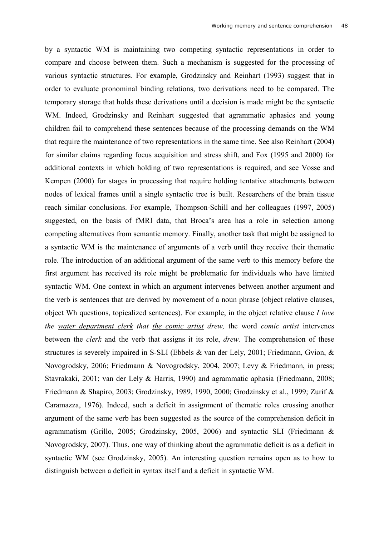by a syntactic WM is maintaining two competing syntactic representations in order to compare and choose between them. Such a mechanism is suggested for the processing of various syntactic structures. For example, Grodzinsky and Reinhart (1993) suggest that in order to evaluate pronominal binding relations, two derivations need to be compared. The temporary storage that holds these derivations until a decision is made might be the syntactic WM. Indeed, Grodzinsky and Reinhart suggested that agrammatic aphasics and young children fail to comprehend these sentences because of the processing demands on the WM that require the maintenance of two representations in the same time. See also Reinhart (2004) for similar claims regarding focus acquisition and stress shift, and Fox (1995 and 2000) for additional contexts in which holding of two representations is required, and see Vosse and Kempen (2000) for stages in processing that require holding tentative attachments between nodes of lexical frames until a single syntactic tree is built. Researchers of the brain tissue reach similar conclusions. For example, Thompson-Schill and her colleagues (1997, 2005) suggested, on the basis of fMRI data, that Broca's area has a role in selection among competing alternatives from semantic memory. Finally, another task that might be assigned to a syntactic WM is the maintenance of arguments of a verb until they receive their thematic role. The introduction of an additional argument of the same verb to this memory before the first argument has received its role might be problematic for individuals who have limited syntactic WM. One context in which an argument intervenes between another argument and the verb is sentences that are derived by movement of a noun phrase (object relative clauses, object Wh questions, topicalized sentences). For example, in the object relative clause *I love the water department clerk that the comic artist drew,* the word *comic artist* intervenes between the *clerk* and the verb that assigns it its role, *drew.* The comprehension of these structures is severely impaired in S-SLI (Ebbels & van der Lely, 2001; Friedmann, Gvion, & Novogrodsky, 2006; Friedmann & Novogrodsky, 2004, 2007; Levy & Friedmann, in press; Stavrakaki, 2001; van der Lely & Harris, 1990) and agrammatic aphasia (Friedmann, 2008; Friedmann & Shapiro, 2003; Grodzinsky, 1989, 1990, 2000; Grodzinsky et al., 1999; Zurif & Caramazza, 1976). Indeed, such a deficit in assignment of thematic roles crossing another argument of the same verb has been suggested as the source of the comprehension deficit in agrammatism (Grillo, 2005; Grodzinsky, 2005, 2006) and syntactic SLI (Friedmann & Novogrodsky, 2007). Thus, one way of thinking about the agrammatic deficit is as a deficit in syntactic WM (see Grodzinsky, 2005). An interesting question remains open as to how to distinguish between a deficit in syntax itself and a deficit in syntactic WM.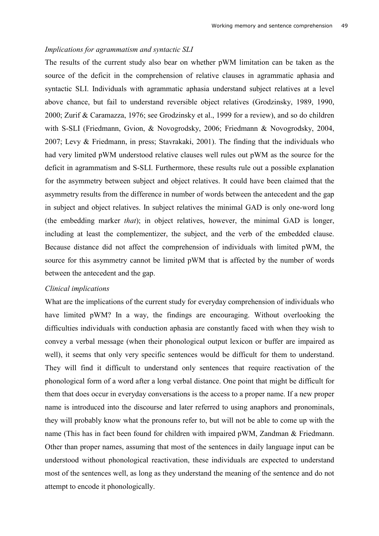### *Implications for agrammatism and syntactic SLI*

The results of the current study also bear on whether pWM limitation can be taken as the source of the deficit in the comprehension of relative clauses in agrammatic aphasia and syntactic SLI. Individuals with agrammatic aphasia understand subject relatives at a level above chance, but fail to understand reversible object relatives (Grodzinsky, 1989, 1990, 2000; Zurif & Caramazza, 1976; see Grodzinsky et al., 1999 for a review), and so do children with S-SLI (Friedmann, Gvion, & Novogrodsky, 2006; Friedmann & Novogrodsky, 2004, 2007; Levy & Friedmann, in press; Stavrakaki, 2001). The finding that the individuals who had very limited pWM understood relative clauses well rules out pWM as the source for the deficit in agrammatism and S-SLI. Furthermore, these results rule out a possible explanation for the asymmetry between subject and object relatives. It could have been claimed that the asymmetry results from the difference in number of words between the antecedent and the gap in subject and object relatives. In subject relatives the minimal GAD is only one-word long (the embedding marker *that*); in object relatives, however, the minimal GAD is longer, including at least the complementizer, the subject, and the verb of the embedded clause. Because distance did not affect the comprehension of individuals with limited pWM, the source for this asymmetry cannot be limited pWM that is affected by the number of words between the antecedent and the gap.

### *Clinical implications*

What are the implications of the current study for everyday comprehension of individuals who have limited pWM? In a way, the findings are encouraging. Without overlooking the difficulties individuals with conduction aphasia are constantly faced with when they wish to convey a verbal message (when their phonological output lexicon or buffer are impaired as well), it seems that only very specific sentences would be difficult for them to understand. They will find it difficult to understand only sentences that require reactivation of the phonological form of a word after a long verbal distance. One point that might be difficult for them that does occur in everyday conversations is the access to a proper name. If a new proper name is introduced into the discourse and later referred to using anaphors and pronominals, they will probably know what the pronouns refer to, but will not be able to come up with the name (This has in fact been found for children with impaired pWM, Zandman & Friedmann. Other than proper names, assuming that most of the sentences in daily language input can be understood without phonological reactivation, these individuals are expected to understand most of the sentences well, as long as they understand the meaning of the sentence and do not attempt to encode it phonologically.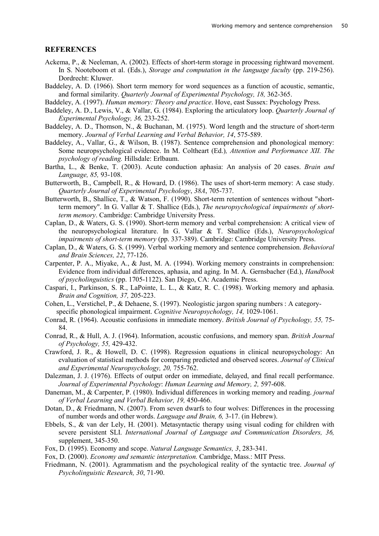#### **REFERENCES**

- Ackema, P., & Neeleman, A. (2002). Effects of short-term storage in processing rightward movement. In S. Nooteboom et al. (Eds.), *Storage and computation in the language faculty* (pp. 219-256). Dordrecht: Kluwer.
- Baddeley, A. D. (1966). Short term memory for word sequences as a function of acoustic, semantic, and formal similarity. *Quarterly Journal of Experimental Psychology, 18,* 362-365.
- Baddeley, A. (1997). *Human memory: Theory and practice*. Hove, east Sussex: Psychology Press.
- Baddeley, A. D., Lewis, V., & Vallar, G. (1984). Exploring the articulatory loop. *Quarterly Journal of Experimental Psychology, 36,* 233-252.
- Baddeley, A. D., Thomson, N., & Buchanan, M. (1975). Word length and the structure of short-term memory. *Journal of Verbal Learning and Verbal Behavior, 14*, 575-589.
- Baddeley, A., Vallar, G., & Wilson, B. (1987). Sentence comprehension and phonological memory: Some neuropsychological evidence. In M. Coltheart (Ed.)*, Attention and Performance XII. The psychology of reading.* Hillsdale: Erlbaum.
- Bartha, L., & Benke, T. (2003). Acute conduction aphasia: An analysis of 20 cases. *Brain and Language, 85,* 93-108.
- Butterworth, B., Campbell, R., & Howard, D. (1986). The uses of short-term memory: A case study. *Quarterly Journal of Experimental Psychology*, *38A*, 705-737.
- Butterworth, B., Shallice, T., & Watson, F. (1990). Short-term retention of sentences without "shortterm memory". In G. Vallar & T. Shallice (Eds.), *The neuropsychological impairments of shortterm memory*. Cambridge: Cambridge University Press.
- Caplan, D., & Waters, G. S. (1990). Short-term memory and verbal comprehension: A critical view of the neuropsychological literature. In G. Vallar & T. Shallice (Eds.), *Neuropsychological impairments of short-term memory* (pp. 337-389). Cambridge: Cambridge University Press.
- Caplan, D., & Waters, G. S. (1999). Verbal working memory and sentence comprehension. *Behavioral and Brain Sciences, 22*, 77-126.
- Carpenter, P. A., Miyake, A., & Just, M. A. (1994). Working memory constraints in comprehension: Evidence from individual differences, aphasia, and aging. In M. A. Gernsbacher (Ed.), *Handbook of psycholinguistics* (pp. 1705-1122). San Diego, CA: Academic Press.
- Caspari, I., Parkinson, S. R., LaPointe, L. L., & Katz, R. C. (1998). Working memory and aphasia. *Brain and Cognition, 37,* 205-223.
- Cohen, L., Verstichel, P., & Dehaene, S. (1997). Neologistic jargon sparing numbers : A categoryspecific phonological impairment. *Cognitive Neuropsychology, 14,* 1029-1061.
- Conrad, R. (1964). Acoustic confusions in immediate memory. *British Journal of Psychology, 55,* 75- 84.
- Conrad, R., & Hull, A. J. (1964). Information, acoustic confusions, and memory span. *British Journal of Psychology, 55,* 429-432.
- Crawford, J. R., & Howell, D. C. (1998). Regression equations in clinical neuropsychology: An evaluation of statistical methods for comparing predicted and observed scores. *Journal of Clinical and Experimental Neuropsychology, 20,* 755-762.
- Dalezman, J. J. (1976). Effects of output order on immediate, delayed, and final recall performance. *Journal of Experimental Psychology*: *Human Learning and Memory, 2,* 597-608.
- Daneman, M., & Carpenter, P. (1980). Individual differences in working memory and reading. *journal of Verbal Learning and Verbal Behavior, 19,* 450-466.
- Dotan, D., & Friedmann, N. (2007). From seven dwarfs to four wolves: Differences in the processing of number words and other words. *Language and Brain, 6,* 3-17. (in Hebrew).
- Ebbels, S., & van der Lely, H. (2001). Metasyntactic therapy using visual coding for children with severe persistent SLI. *International Journal of Language and Communication Disorders, 36,*  supplement, 345-350.
- Fox, D. (1995). Economy and scope. *Natural Language Semantics, 3*, 283-341.
- Fox, D. (2000). *Economy and semantic interpretation.* Cambridge, Mass.: MIT Press.
- Friedmann, N. (2001). Agrammatism and the psychological reality of the syntactic tree. *Journal of Psycholinguistic Research, 30*, 71-90.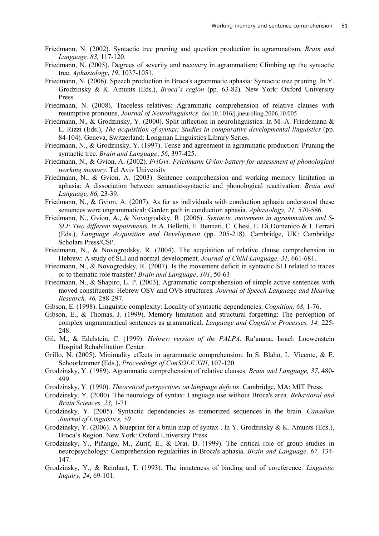- Friedmann, N. (2002). Syntactic tree pruning and question production in agrammatism*. Brain and Language, 83,* 117-120.
- Friedmann, N. (2005). Degrees of severity and recovery in agrammatism: Climbing up the syntactic tree. *Aphasiology*, *19*, 1037-1051.
- Friedmann, N. (2006). Speech production in Broca's agrammatic aphasia: Syntactic tree pruning. In Y. Grodzinsky & K. Amunts (Eds.), *Broca's region* (pp. 63-82)*.* New York: Oxford University Press.
- Friedmann, N. (2008). Traceless relatives: Agrammatic comprehension of relative clauses with resumptive pronouns. *Journal of Neurolinguistics*. doi:10.1016/j.jneuroling.2006.10.005
- Friedmann, N., & Grodzinsky, Y. (2000). Split inflection in neurolinguistics. In M.-A. Friedemann & L. Rizzi (Eds.), *The acquisition of syntax: Studies in comparative developmental linguistics* (pp. 84-104)*.* Geneva, Switzerland: Longman Linguistics Library Series.
- Friedmann, N., & Grodzinsky, Y. (1997). Tense and agreement in agrammatic production: Pruning the syntactic tree. *Brain and Language*, *56*, 397-425.
- Friedmann, N., & Gvion, A. (2002). *FriGvi: Friedmann Gvion battery for assessment of phonological working memory*. Tel Aviv University
- Friedmann, N., & Gvion, A. (2003). Sentence comprehension and working memory limitation in aphasia: A dissociation between semantic-syntactic and phonological reactivation. *Brain and Language, 86,* 23-39.
- Friedmann, N., & Gvion, A. (2007). As far as individuals with conduction aphasia understood these sentences were ungrammatical: Garden path in conduction aphasia. *Aphasiology, 21,* 570-586.
- Friedmann, N., Gvion, A., & Novogrodsky, R. (2006). *Syntactic movement in agrammatism and S-SLI: Two different impairments*. In A. Belletti, E. Bennati, C. Chesi, E. Di Domenico & I. Ferrari (Eds.), *Language Acquisition and Development* (pp. 205-218)*.* Cambridge, UK: Cambridge Scholars Press/CSP.
- Friedmann, N., & Novogrodsky, R. (2004). The acquisition of relative clause comprehension in Hebrew: A study of SLI and normal development. *Journal of Child Language, 31,* 661-681.
- Friedmann, N., & Novogrodsky, R. (2007). Is the movement deficit in syntactic SLI related to traces or to thematic role transfer? *Brain and Language*, *101*, 50-63
- Friedmann, N., & Shapiro, L. P. (2003). Agrammatic comprehension of simple active sentences with moved constituents: Hebrew OSV and OVS structures. *Journal of Speech Language and Hearing Research, 46,* 288-297.
- Gibson, E. (1998). Linguistic complexity: Locality of syntactic dependencies. *Cognition, 68,* 1-76.
- Gibson, E., & Thomas, J. (1999). Memory limitation and structural forgetting: The perception of complex ungrammatical sentences as grammatical. *Language and Cognitive Processes, 14,* 225- 248.
- Gil, M., & Edelstein, C. (1999). *Hebrew version of the PALPA.* Ra'anana, Israel: Loewenstein Hospital Rehabilitation Center.
- Grillo, N. (2005). Minimality effects in agrammatic comprehension. In S. Blaho, L. Vicente, & E. Schoorlemmer (Eds.), *Proceedings of ConSOLE XIII*, 107-120.
- Grodzinsky, Y. (1989). Agrammatic comprehension of relative clauses. *Brain and Language, 37*, 480- 499.
- Grodzinsky, Y. (1990). *Theoretical perspectives on language deficits*. Cambridge, MA: MIT Press.
- Grodzinsky, Y. (2000). The neurology of syntax: Language use without Broca's area. *Behavioral and Brain Sciences, 23,* 1-71.
- Grodzinsky, Y. (2005). Syntactic dependencies as memorized sequences in the brain. *Canadian Journal of Linguistics, 50.*
- Grodzinsky, Y. (2006). A blueprint for a brain map of syntax . In Y. Grodzinsky & K. Amunts (Eds.), Broca's Region. New York: Oxford University Press
- Grodzinsky, Y., Piñango, M., Zurif, E., & Drai, D. (1999). The critical role of group studies in neuropsychology: Comprehension regularities in Broca's aphasia. *Brain and Language, 67,* 134- 147.
- Grodzinsky, Y., & Reinhart, T. (1993). The innateness of binding and of coreference. *Linguistic Inquiry, 24*, 69-101.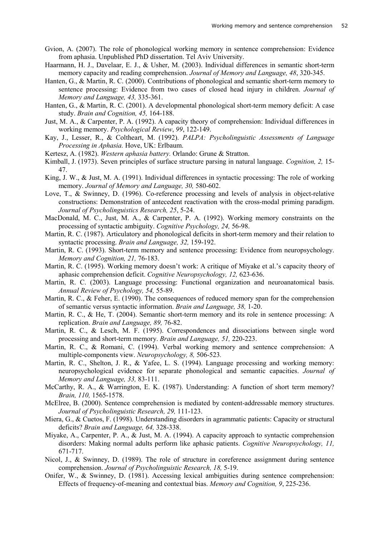- Gvion, A. (2007). The role of phonological working memory in sentence comprehension: Evidence from aphasia. Unpublished PhD dissertation. Tel Aviv University.
- Haarmann, H. J., Davelaar, E. J., & Usher, M. (2003). Individual differences in semantic short-term memory capacity and reading comprehension. *Journal of Memory and Language, 48*, 320-345.
- Hanten, G., & Martin, R. C. (2000). Contributions of phonological and semantic short-term memory to sentence processing: Evidence from two cases of closed head injury in children. *Journal of Memory and Language, 43,* 335-361.
- Hanten, G., & Martin, R. C. (2001). A developmental phonological short-term memory deficit: A case study. *Brain and Cognition, 45,* 164-188.
- Just, M. A., & Carpenter, P. A. (1992). A capacity theory of comprehension: Individual differences in working memory. *Psychological Review*, *99*, 122-149.
- Kay, J., Lesser, R., & Coltheart, M. (1992). *PALPA: Psycholinguistic Assessments of Language Processing in Aphasia.* Hove, UK: Erlbaum.
- Kertesz, A. (1982). *Western aphasia battery.* Orlando: Grune & Stratton.
- Kimball, J. (1973). Seven principles of surface structure parsing in natural language. *Cognition, 2,* 15- 47.
- King, J. W., & Just, M. A. (1991). Individual differences in syntactic processing: The role of working memory. *Journal of Memory and Language, 30,* 580-602.
- Love, T., & Swinney, D. (1996). Co-reference processing and levels of analysis in object-relative constructions: Demonstration of antecedent reactivation with the cross-modal priming paradigm. *Journal of Psycholinguistics Research, 25*, 5-24.
- MacDonald, M. C., Just, M. A., & Carpenter, P. A. (1992). Working memory constraints on the processing of syntactic ambiguity. *Cognitive Psychology, 24,* 56-98.
- Martin, R. C. (1987). Articulatory and phonological deficits in short-term memory and their relation to syntactic processing. *Brain and Language, 32,* 159-192.
- Martin, R. C. (1993). Short-term memory and sentence processing: Evidence from neuropsychology. *Memory and Cognition, 21,* 76-183.
- Martin, R. C. (1995). Working memory doesn't work: A critique of Miyake et al.'s capacity theory of aphasic comprehension deficit. *Cognitive Neuropsychology, 12,* 623-636.
- Martin, R. C. (2003). Language processing: Functional organization and neuroanatomical basis. *Annual Review of Psychology, 54,* 55-89.
- Martin, R. C., & Feher, E. (1990). The consequences of reduced memory span for the comprehension of semantic versus syntactic information. *Brain and Language, 38,* 1-20.
- Martin, R. C., & He, T. (2004). Semantic short-term memory and its role in sentence processing: A replication. *Brain and Language, 89,* 76-82.
- Martin, R. C., & Lesch, M. F. (1995). Correspondences and dissociations between single word processing and short-term memory. *Brain and Language, 51,* 220-223.
- Martin, R. C., & Romani, C. (1994). Verbal working memory and sentence comprehension: A multiple-components view. *Neuropsychology, 8,* 506-523*.*
- Martin, R. C., Shelton, J. R., & Yafee, L. S. (1994). Language processing and working memory: neuropsychological evidence for separate phonological and semantic capacities. *Journal of Memory and Language, 33,* 83-111.
- McCarthy, R. A., & Warrington, E. K. (1987). Understanding: A function of short term memory? *Brain, 110,* 1565-1578.
- McElree, B. (2000). Sentence comprehension is mediated by content-addressable memory structures. *Journal of Psycholinguistic Research, 29,* 111-123.
- Miera, G., & Cuetos, F. (1998). Understanding disorders in agrammatic patients: Capacity or structural deficits? *Brain and Language, 64,* 328-338.
- Miyake, A., Carpenter, P. A., & Just, M. A. (1994). A capacity approach to syntactic comprehension disorders: Making normal adults perform like aphasic patients. *Cognitive Neuropsychology, 11,* 671-717.
- Nicol, J., & Swinney, D. (1989). The role of structure in coreference assignment during sentence comprehension. *Journal of Psycholinguistic Research, 18,* 5-19.
- Onifer, W., & Swinney, D. (1981). Accessing lexical ambiguities during sentence comprehension: Effects of frequency-of-meaning and contextual bias. *Memory and Cognition, 9*, 225-236.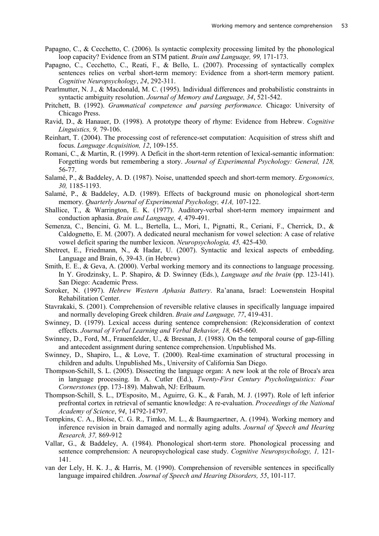- Papagno, C., & Cecchetto, C. (2006). Is syntactic complexity processing limited by the phonological loop capacity? Evidence from an STM patient. *Brain and Language, 99,* 171-173.
- Papagno, C., Cecchetto, C., Reati, F., & Bello, L. (2007). Processing of syntactically complex sentences relies on verbal short-term memory: Evidence from a short-term memory patient. *Cognitive Neuropsychology*, *24*, 292-311.
- Pearlmutter, N. J., & Macdonald, M. C. (1995). Individual differences and probabilistic constraints in syntactic ambiguity resolution. *Journal of Memory and Language, 34*, 521-542.
- Pritchett, B. (1992). *Grammatical competence and parsing performance.* Chicago: University of Chicago Press.
- Ravid, D., & Hanauer, D. (1998). A prototype theory of rhyme: Evidence from Hebrew. *Cognitive Linguistics, 9,* 79-106.
- Reinhart, T. (2004). The processing cost of reference-set computation: Acquisition of stress shift and focus. *Language Acquisition, 12*, 109-155.
- Romani, C., & Martin, R. (1999). A Deficit in the short-term retention of lexical-semantic information: Forgetting words but remembering a story. *Journal of Experimental Psychology: General, 128,* 56-77.
- Salamé, P., & Baddeley, A. D. (1987). Noise, unattended speech and short-term memory. *Ergonomics, 30,* 1185-1193.
- Salamé, P., & Baddeley, A.D. (1989). Effects of background music on phonological short-term memory. *Quarterly Journal of Experimental Psychology, 41A,* 107-122.
- Shallice, T., & Warrington, E. K. (1977). Auditory-verbal short-term memory impairment and conduction aphasia. *Brain and Language, 4,* 479-491.
- Semenza, C., Bencini, G. M. L., Bertella, L., Mori, I., Pignatti, R., Ceriani, F., Cherrick, D., & Caldognetto, E. M. (2007). A dedicated neural mechanism for vowel selection: A case of relative vowel deficit sparing the number lexicon. *Neuropsychologia, 45,* 425-430.
- Shetreet, E., Friedmann, N., & Hadar, U. (2007). Syntactic and lexical aspects of embedding. Language and Brain, 6, 39-43. (in Hebrew)
- Smith, E. E., & Geva, A. (2000). Verbal working memory and its connections to language processing. In Y. Grodzinsky, L. P. Shapiro, & D. Swinney (Eds.), *Language and the brain* (pp. 123-141). San Diego: Academic Press.
- Soroker, N. (1997). *Hebrew Western Aphasia Battery*. Ra'anana, Israel: Loewenstein Hospital Rehabilitation Center.
- Stavrakaki, S. (2001). Comprehension of reversible relative clauses in specifically language impaired and normally developing Greek children. *Brain and Language, 77*, 419-431.
- Swinney, D. (1979). Lexical access during sentence comprehension: (Re)consideration of context effects. *Journal of Verbal Learning and Verbal Behavior, 18,* 645-660.
- Swinney, D., Ford, M., Frauenfelder, U., & Bresnan, J. (1988). On the temporal course of gap-filling and antecedent assignment during sentence comprehension. Unpublished Ms.
- Swinney, D., Shapiro, L., & Love, T. (2000). Real-time examination of structural processing in children and adults. Unpublished Ms., University of California San Diego.
- Thompson-Schill, S. L. (2005). [Dissecting the language organ: A new look at the role of Broca's area](http://www.psych.upenn.edu/stslab/Language_organ.pdf)  [in language processing.](http://www.psych.upenn.edu/stslab/Language_organ.pdf) In A. Cutler (Ed.), *Twenty-First Century Psycholinguistics: Four Cornerstones* (pp. 173-189). Mahwah, NJ: Erlbaum.
- Thompson-Schill, S. L., D'Esposito, M., Aguirre, G. K., & Farah, M. J. (1997). [Role of left inferior](http://www.psych.upenn.edu/stslab/TS_PNAS_97.pdf)  [prefrontal cortex in retrieval of semantic knowledge: A re-evaluation.](http://www.psych.upenn.edu/stslab/TS_PNAS_97.pdf) *Proceedings of the National Academy of Science*, *94*, 14792-14797.
- Tompkins, C. A., Bloise, C. G. R., Timko, M. L., & Baumgaertner, A. (1994). Working memory and inference revision in brain damaged and normally aging adults. *Journal of Speech and Hearing Research, 37,* 869-912
- Vallar, G., & Baddeley, A. (1984). Phonological short-term store. Phonological processing and sentence comprehension: A neuropsychological case study. *Cognitive Neuropsychology, 1,* 121- 141.
- van der Lely, H. K. J., & Harris, M. (1990). Comprehension of reversible sentences in specifically language impaired children. *Journal of Speech and Hearing Disorders, 55*, 101-117.